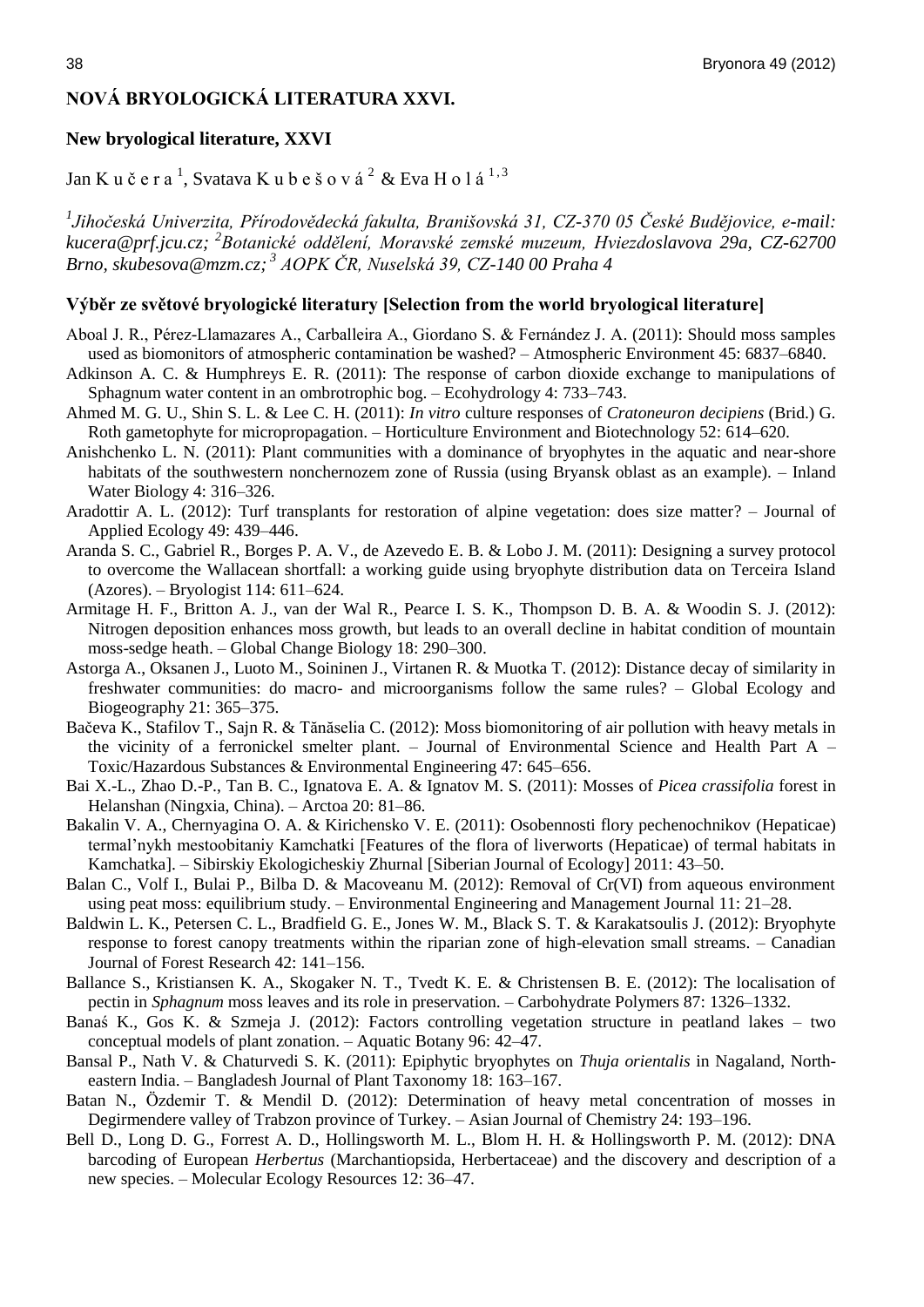# **NOVÁ BRYOLOGICKÁ LITERATURA XXVI.**

#### **New bryological literature, XXVI**

Jan K u č e r a  $^1$ , Svatava K u b e š o v á  $^2$  & Eva H o l á  $^{1,\,3}$ 

*1 Jihočeská Univerzita, Přírodovědecká fakulta, Branišovská 31, CZ-370 05 České Budějovice, e-mail: kucera@prf.jcu.cz; <sup>2</sup> Botanické oddělení, Moravské zemské muzeum, Hviezdoslavova 29a, CZ-62700 Brno, skubesova@mzm.cz; <sup>3</sup> AOPK ČR, Nuselská 39, CZ-140 00 Praha 4*

#### **Výběr ze světové bryologické literatury [Selection from the world bryological literature]**

- Aboal J. R., Pérez-Llamazares A., Carballeira A., Giordano S. & Fernández J. A. (2011): Should moss samples used as biomonitors of atmospheric contamination be washed? – Atmospheric Environment 45: 6837–6840.
- Adkinson A. C. & Humphreys E. R. (2011): The response of carbon dioxide exchange to manipulations of Sphagnum water content in an ombrotrophic bog. – Ecohydrology 4: 733–743.
- Ahmed M. G. U., Shin S. L. & Lee C. H. (2011): *In vitro* culture responses of *Cratoneuron decipiens* (Brid.) G. Roth gametophyte for micropropagation. – Horticulture Environment and Biotechnology 52: 614–620.
- Anishchenko L. N. (2011): Plant communities with a dominance of bryophytes in the aquatic and near-shore habitats of the southwestern nonchernozem zone of Russia (using Bryansk oblast as an example). – Inland Water Biology 4: 316–326.
- Aradottir A. L. (2012): Turf transplants for restoration of alpine vegetation: does size matter? Journal of Applied Ecology 49: 439–446.
- Aranda S. C., Gabriel R., Borges P. A. V., de Azevedo E. B. & Lobo J. M. (2011): Designing a survey protocol to overcome the Wallacean shortfall: a working guide using bryophyte distribution data on Terceira Island (Azores). – Bryologist 114: 611–624.
- Armitage H. F., Britton A. J., van der Wal R., Pearce I. S. K., Thompson D. B. A. & Woodin S. J. (2012): Nitrogen deposition enhances moss growth, but leads to an overall decline in habitat condition of mountain moss-sedge heath. – Global Change Biology 18: 290–300.
- Astorga A., Oksanen J., Luoto M., Soininen J., Virtanen R. & Muotka T. (2012): Distance decay of similarity in freshwater communities: do macro- and microorganisms follow the same rules? – Global Ecology and Biogeography 21: 365–375.
- Bačeva K., Stafilov T., Sajn R. & Tănăselia C. (2012): Moss biomonitoring of air pollution with heavy metals in the vicinity of a ferronickel smelter plant. – Journal of Environmental Science and Health Part A – Toxic/Hazardous Substances & Environmental Engineering 47: 645–656.
- Bai X.-L., Zhao D.-P., Tan B. C., Ignatova E. A. & Ignatov M. S. (2011): Mosses of *Picea crassifolia* forest in Helanshan (Ningxia, China). – Arctoa 20: 81–86.
- Bakalin V. A., Chernyagina O. A. & Kirichensko V. E. (2011): Osobennosti flory pechenochnikov (Hepaticae) termal'nykh mestoobitaniy Kamchatki [Features of the flora of liverworts (Hepaticae) of termal habitats in Kamchatka]. – Sibirskiy Ekologicheskiy Zhurnal [Siberian Journal of Ecology] 2011: 43–50.
- Balan C., Volf I., Bulai P., Bilba D. & Macoveanu M. (2012): Removal of Cr(VI) from aqueous environment using peat moss: equilibrium study. – Environmental Engineering and Management Journal 11: 21–28.
- Baldwin L. K., Petersen C. L., Bradfield G. E., Jones W. M., Black S. T. & Karakatsoulis J. (2012): Bryophyte response to forest canopy treatments within the riparian zone of high-elevation small streams. – Canadian Journal of Forest Research 42: 141–156.
- Ballance S., Kristiansen K. A., Skogaker N. T., Tvedt K. E. & Christensen B. E. (2012): The localisation of pectin in *Sphagnum* moss leaves and its role in preservation. – Carbohydrate Polymers 87: 1326–1332.
- Banaś K., Gos K. & Szmeja J. (2012): Factors controlling vegetation structure in peatland lakes two conceptual models of plant zonation. – Aquatic Botany 96: 42–47.
- Bansal P., Nath V. & Chaturvedi S. K. (2011): Epiphytic bryophytes on *Thuja orientalis* in Nagaland, Northeastern India. – Bangladesh Journal of Plant Taxonomy 18: 163–167.
- Batan N., Özdemir T. & Mendil D. (2012): Determination of heavy metal concentration of mosses in Degirmendere valley of Trabzon province of Turkey. – Asian Journal of Chemistry 24: 193–196.
- Bell D., Long D. G., Forrest A. D., Hollingsworth M. L., Blom H. H. & Hollingsworth P. M. (2012): DNA barcoding of European *Herbertus* (Marchantiopsida, Herbertaceae) and the discovery and description of a new species. – Molecular Ecology Resources 12: 36–47.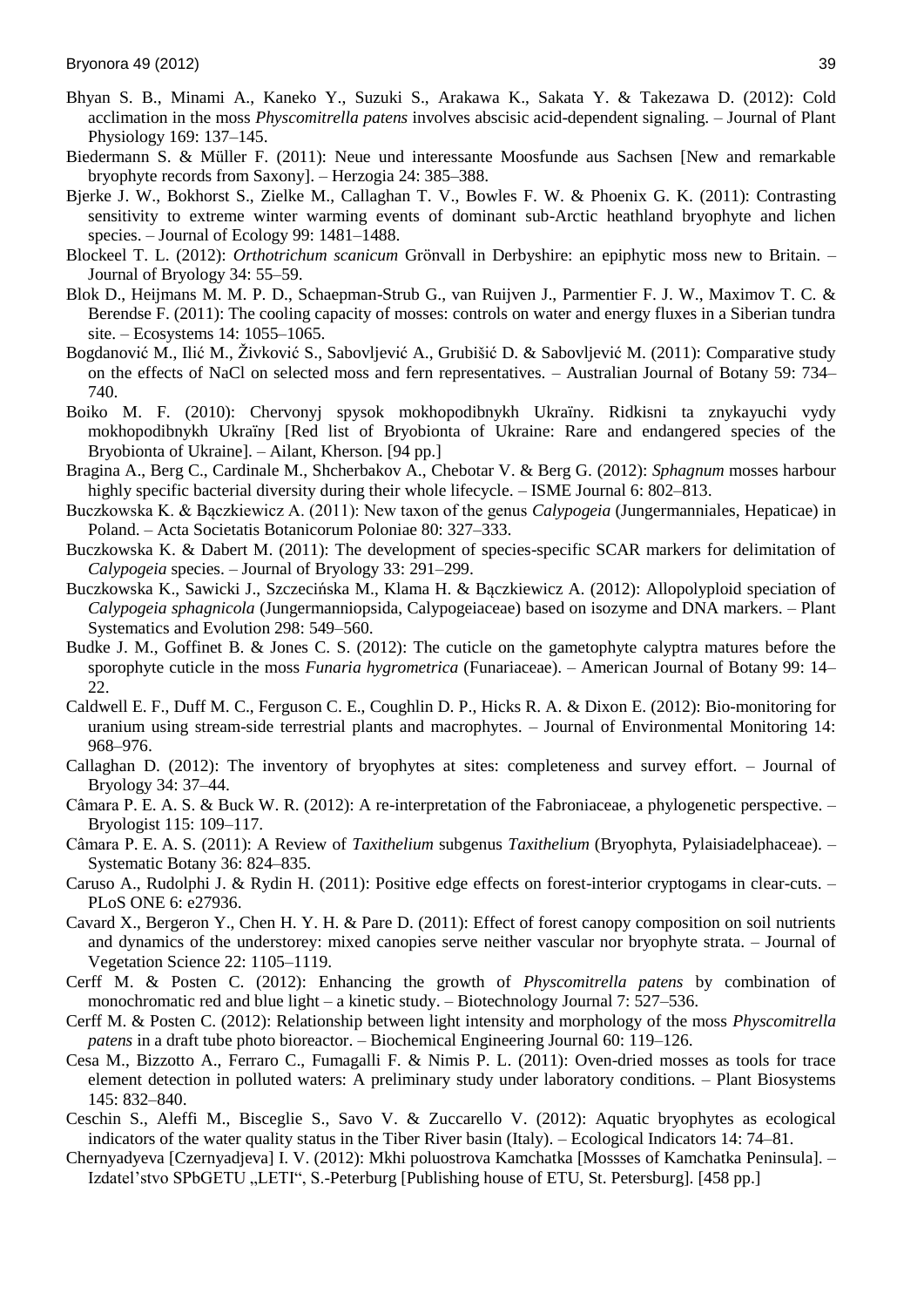- Bhyan S. B., Minami A., Kaneko Y., Suzuki S., Arakawa K., Sakata Y. & Takezawa D. (2012): Cold acclimation in the moss *Physcomitrella patens* involves abscisic acid-dependent signaling. – Journal of Plant Physiology 169: 137–145.
- Biedermann S. & Müller F. (2011): Neue und interessante Moosfunde aus Sachsen [New and remarkable bryophyte records from Saxony]. – Herzogia 24: 385–388.
- Bjerke J. W., Bokhorst S., Zielke M., Callaghan T. V., Bowles F. W. & Phoenix G. K. (2011): Contrasting sensitivity to extreme winter warming events of dominant sub-Arctic heathland bryophyte and lichen species. – Journal of Ecology 99: 1481–1488.
- Blockeel T. L. (2012): *Orthotrichum scanicum* Grönvall in Derbyshire: an epiphytic moss new to Britain. Journal of Bryology 34: 55–59.
- Blok D., Heijmans M. M. P. D., Schaepman-Strub G., van Ruijven J., Parmentier F. J. W., Maximov T. C. & Berendse F. (2011): The cooling capacity of mosses: controls on water and energy fluxes in a Siberian tundra site. – Ecosystems 14: 1055–1065.
- Bogdanović M., Ilić M., Živković S., Sabovljević A., Grubišić D. & Sabovljević M. (2011): Comparative study on the effects of NaCl on selected moss and fern representatives. – Australian Journal of Botany 59: 734– 740.
- Boiko M. F. (2010): Chervonyj spysok mokhopodibnykh Ukraïny. Ridkisni ta znykayuchi vydy mokhopodibnykh Ukraïny [Red list of Bryobionta of Ukraine: Rare and endangered species of the Bryobionta of Ukraine]. – Ailant, Kherson. [94 pp.]
- Bragina A., Berg C., Cardinale M., Shcherbakov A., Chebotar V. & Berg G. (2012): *Sphagnum* mosses harbour highly specific bacterial diversity during their whole lifecycle. – ISME Journal 6: 802–813.
- Buczkowska K. & Bączkiewicz A. (2011): New taxon of the genus *Calypogeia* (Jungermanniales, Hepaticae) in Poland. – Acta Societatis Botanicorum Poloniae 80: 327–333.
- Buczkowska K. & Dabert M. (2011): The development of species-specific SCAR markers for delimitation of *Calypogeia* species. – Journal of Bryology 33: 291–299.
- Buczkowska K., Sawicki J., Szczecińska M., Klama H. & Bączkiewicz A. (2012): Allopolyploid speciation of *Calypogeia sphagnicola* (Jungermanniopsida, Calypogeiaceae) based on isozyme and DNA markers. – Plant Systematics and Evolution 298: 549–560.
- Budke J. M., Goffinet B. & Jones C. S. (2012): The cuticle on the gametophyte calyptra matures before the sporophyte cuticle in the moss *Funaria hygrometrica* (Funariaceae). – American Journal of Botany 99: 14– 22.
- Caldwell E. F., Duff M. C., Ferguson C. E., Coughlin D. P., Hicks R. A. & Dixon E. (2012): Bio-monitoring for uranium using stream-side terrestrial plants and macrophytes. – Journal of Environmental Monitoring 14: 968–976.
- Callaghan D. (2012): The inventory of bryophytes at sites: completeness and survey effort. Journal of Bryology 34: 37–44.
- Câmara P. E. A. S. & Buck W. R. (2012): A re-interpretation of the Fabroniaceae, a phylogenetic perspective. Bryologist 115: 109–117.
- Câmara P. E. A. S. (2011): A Review of *Taxithelium* subgenus *Taxithelium* (Bryophyta, Pylaisiadelphaceae). Systematic Botany 36: 824–835.
- Caruso A., Rudolphi J. & Rydin H. (2011): Positive edge effects on forest-interior cryptogams in clear-cuts. PLoS ONE 6: e27936.
- Cavard X., Bergeron Y., Chen H. Y. H. & Pare D. (2011): Effect of forest canopy composition on soil nutrients and dynamics of the understorey: mixed canopies serve neither vascular nor bryophyte strata. – Journal of Vegetation Science 22: 1105–1119.
- Cerff M. & Posten C. (2012): Enhancing the growth of *Physcomitrella patens* by combination of monochromatic red and blue light – a kinetic study. – Biotechnology Journal 7: 527–536.
- Cerff M. & Posten C. (2012): Relationship between light intensity and morphology of the moss *Physcomitrella patens* in a draft tube photo bioreactor. – Biochemical Engineering Journal 60: 119–126.
- Cesa M., Bizzotto A., Ferraro C., Fumagalli F. & Nimis P. L. (2011): Oven-dried mosses as tools for trace element detection in polluted waters: A preliminary study under laboratory conditions. – Plant Biosystems 145: 832–840.
- Ceschin S., Aleffi M., Bisceglie S., Savo V. & Zuccarello V. (2012): Aquatic bryophytes as ecological indicators of the water quality status in the Tiber River basin (Italy). – Ecological Indicators 14: 74–81.
- Chernyadyeva [Czernyadjeva] I. V. (2012): Mkhi poluostrova Kamchatka [Mossses of Kamchatka Peninsula]. Izdatel'stvo SPbGETU "LETI", S.-Peterburg [Publishing house of ETU, St. Petersburg]. [458 pp.]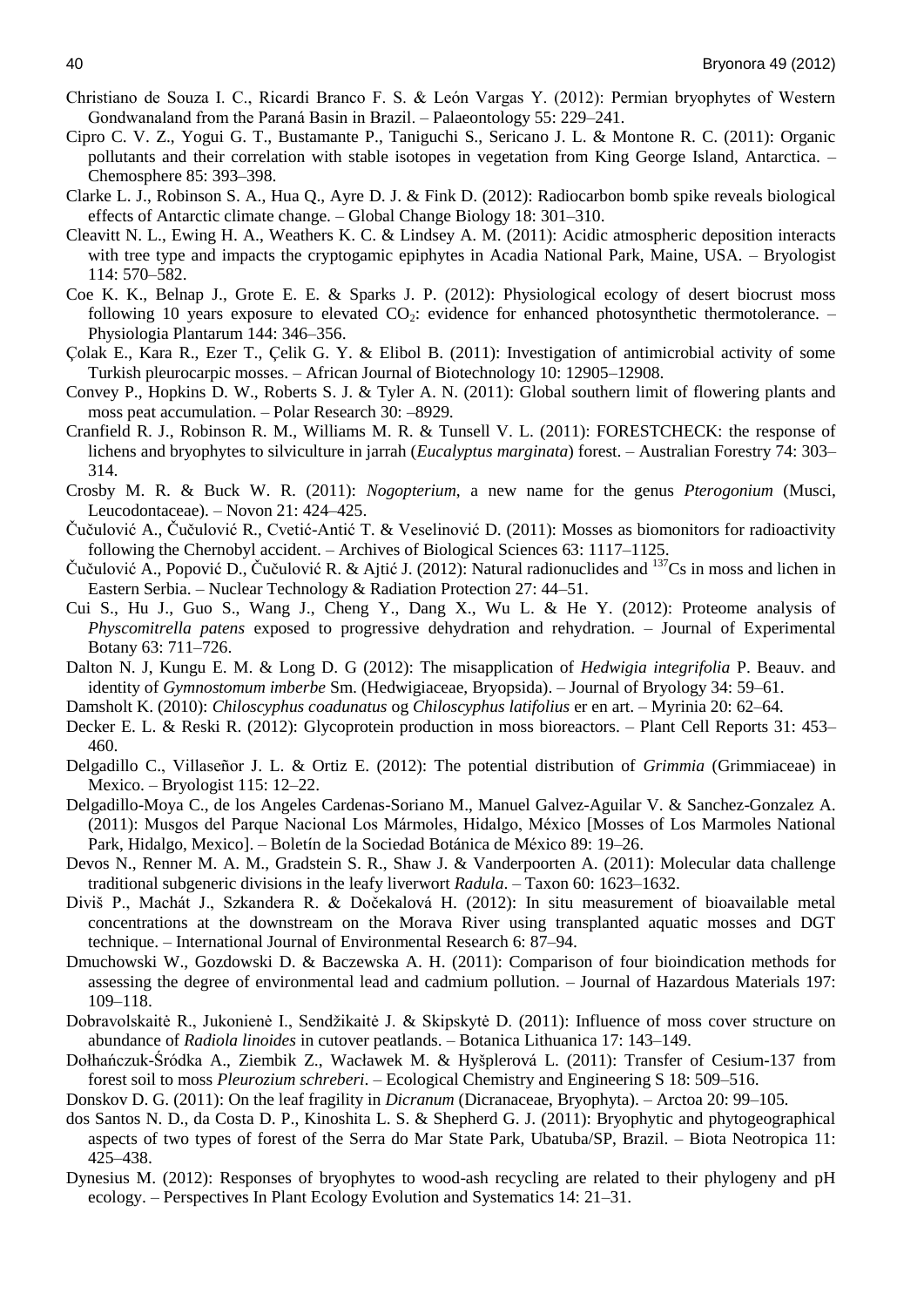- Christiano de Souza I. C., Ricardi Branco F. S. & León Vargas Y. (2012): Permian bryophytes of Western Gondwanaland from the Paraná Basin in Brazil. – Palaeontology 55: 229–241.
- Cipro C. V. Z., Yogui G. T., Bustamante P., Taniguchi S., Sericano J. L. & Montone R. C. (2011): Organic pollutants and their correlation with stable isotopes in vegetation from King George Island, Antarctica. – Chemosphere 85: 393–398.
- Clarke L. J., Robinson S. A., Hua Q., Ayre D. J. & Fink D. (2012): Radiocarbon bomb spike reveals biological effects of Antarctic climate change. – Global Change Biology 18: 301–310.
- Cleavitt N. L., Ewing H. A., Weathers K. C. & Lindsey A. M. (2011): Acidic atmospheric deposition interacts with tree type and impacts the cryptogamic epiphytes in Acadia National Park, Maine, USA. – Bryologist 114: 570–582.
- Coe K. K., Belnap J., Grote E. E. & Sparks J. P. (2012): Physiological ecology of desert biocrust moss following 10 years exposure to elevated  $CO<sub>2</sub>$ : evidence for enhanced photosynthetic thermotolerance. – Physiologia Plantarum 144: 346–356.
- Çolak E., Kara R., Ezer T., Çelik G. Y. & Elibol B. (2011): Investigation of antimicrobial activity of some Turkish pleurocarpic mosses. – African Journal of Biotechnology 10: 12905–12908.
- Convey P., Hopkins D. W., Roberts S. J. & Tyler A. N. (2011): Global southern limit of flowering plants and moss peat accumulation. – Polar Research 30: –8929.
- Cranfield R. J., Robinson R. M., Williams M. R. & Tunsell V. L. (2011): FORESTCHECK: the response of lichens and bryophytes to silviculture in jarrah (*Eucalyptus marginata*) forest. – Australian Forestry 74: 303– 314.
- Crosby M. R. & Buck W. R. (2011): *Nogopterium*, a new name for the genus *Pterogonium* (Musci, Leucodontaceae). – Novon 21: 424–425.
- Čučulović A., Čučulović R., Cvetić-Antić T. & Veselinović D. (2011): Mosses as biomonitors for radioactivity following the Chernobyl accident. – Archives of Biological Sciences 63: 1117–1125.
- Čučulović A., Popović D., Čučulović R. & Ajtić J. (2012): Natural radionuclides and <sup>137</sup>Cs in moss and lichen in Eastern Serbia. – Nuclear Technology & Radiation Protection 27: 44–51.
- Cui S., Hu J., Guo S., Wang J., Cheng Y., Dang X., Wu L. & He Y. (2012): Proteome analysis of *Physcomitrella patens* exposed to progressive dehydration and rehydration. – Journal of Experimental Botany 63: 711–726.
- Dalton N. J, Kungu E. M. & Long D. G (2012): The misapplication of *Hedwigia integrifolia* P. Beauv. and identity of *Gymnostomum imberbe* Sm. (Hedwigiaceae, Bryopsida). – Journal of Bryology 34: 59–61.
- Damsholt K. (2010): *Chiloscyphus coadunatus* og *Chiloscyphus latifolius* er en art. Myrinia 20: 62–64.
- Decker E. L. & Reski R. (2012): Glycoprotein production in moss bioreactors. Plant Cell Reports 31: 453– 460.
- Delgadillo C., Villaseñor J. L. & Ortiz E. (2012): The potential distribution of *Grimmia* (Grimmiaceae) in Mexico. – Bryologist 115: 12–22.
- Delgadillo-Moya C., de los Angeles Cardenas-Soriano M., Manuel Galvez-Aguilar V. & Sanchez-Gonzalez A. (2011): Musgos del Parque Nacional Los Mármoles, Hidalgo, México [Mosses of Los Marmoles National Park, Hidalgo, Mexico]. – Boletín de la Sociedad Botánica de México 89: 19–26.
- Devos N., Renner M. A. M., Gradstein S. R., Shaw J. & Vanderpoorten A. (2011): Molecular data challenge traditional subgeneric divisions in the leafy liverwort *Radula*. – Taxon 60: 1623–1632.
- Diviš P., Machát J., Szkandera R. & Dočekalová H. (2012): In situ measurement of bioavailable metal concentrations at the downstream on the Morava River using transplanted aquatic mosses and DGT technique. – International Journal of Environmental Research 6: 87–94.
- Dmuchowski W., Gozdowski D. & Baczewska A. H. (2011): Comparison of four bioindication methods for assessing the degree of environmental lead and cadmium pollution. – Journal of Hazardous Materials 197: 109–118.
- Dobravolskaitė R., Jukonienė I., Sendžikaitė J. & Skipskytė D. (2011): Influence of moss cover structure on abundance of *Radiola linoides* in cutover peatlands. – Botanica Lithuanica 17: 143–149.
- Dołhańczuk-Śródka A., Ziembik Z., Wacławek M. & Hyšplerová L. (2011): Transfer of Cesium-137 from forest soil to moss *Pleurozium schreberi*. – Ecological Chemistry and Engineering S 18: 509–516.

Donskov D. G. (2011): On the leaf fragility in *Dicranum* (Dicranaceae, Bryophyta). – Arctoa 20: 99–105.

- dos Santos N. D., da Costa D. P., Kinoshita L. S. & Shepherd G. J. (2011): Bryophytic and phytogeographical aspects of two types of forest of the Serra do Mar State Park, Ubatuba/SP, Brazil. – Biota Neotropica 11: 425–438.
- Dynesius M. (2012): Responses of bryophytes to wood-ash recycling are related to their phylogeny and pH ecology. – Perspectives In Plant Ecology Evolution and Systematics 14: 21–31.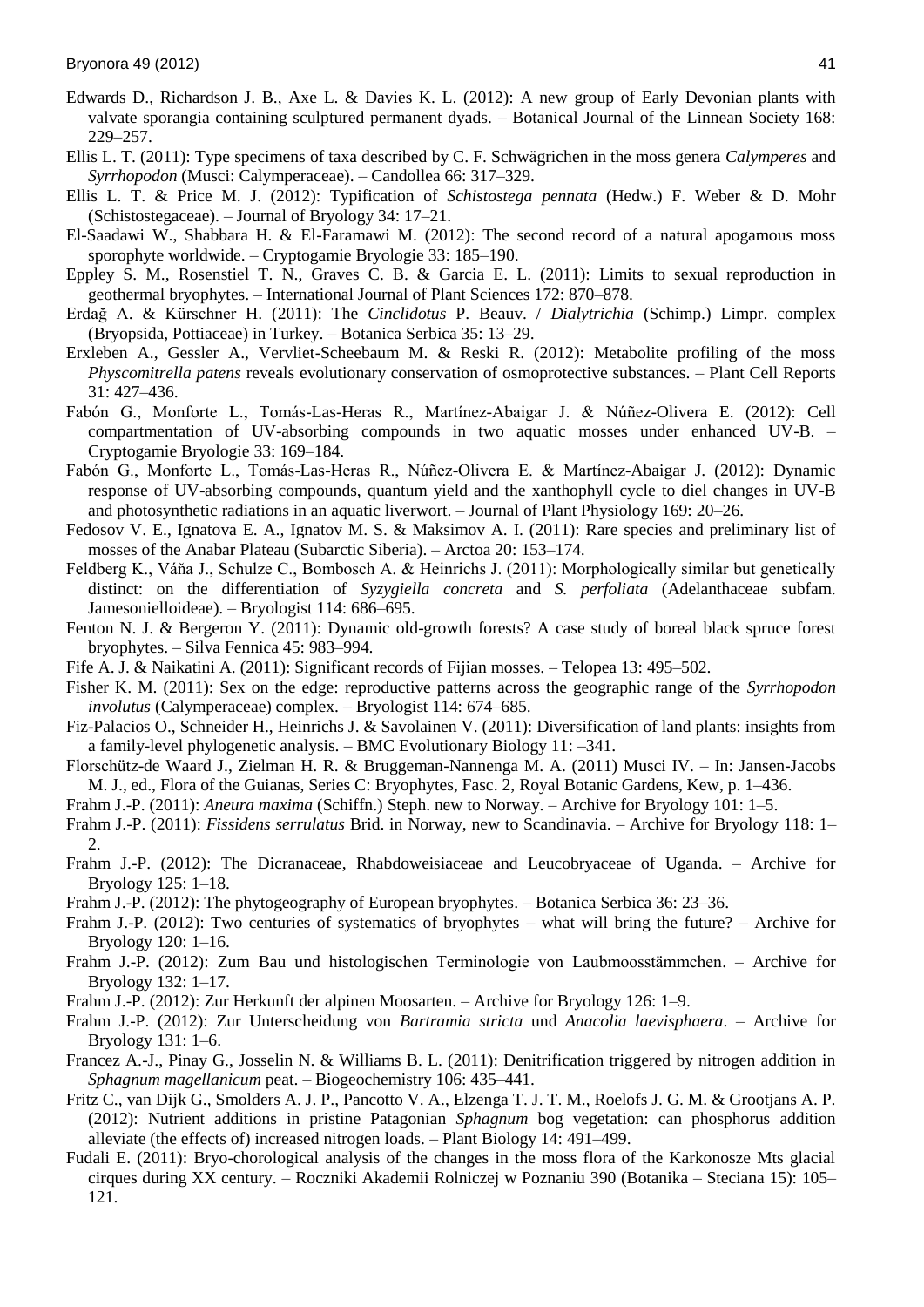- Edwards D., Richardson J. B., Axe L. & Davies K. L. (2012): A new group of Early Devonian plants with valvate sporangia containing sculptured permanent dyads. – Botanical Journal of the Linnean Society 168: 229–257.
- Ellis L. T. (2011): Type specimens of taxa described by C. F. Schwägrichen in the moss genera *Calymperes* and *Syrrhopodon* (Musci: Calymperaceae). – Candollea 66: 317–329.
- Ellis L. T. & Price M. J. (2012): Typification of *Schistostega pennata* (Hedw.) F. Weber & D. Mohr (Schistostegaceae). – Journal of Bryology 34: 17–21.
- El-Saadawi W., Shabbara H. & El-Faramawi M. (2012): The second record of a natural apogamous moss sporophyte worldwide. – Cryptogamie Bryologie 33: 185–190.
- Eppley S. M., Rosenstiel T. N., Graves C. B. & Garcia E. L. (2011): Limits to sexual reproduction in geothermal bryophytes. – International Journal of Plant Sciences 172: 870–878.
- Erdağ A. & Kürschner H. (2011): The *Cinclidotus* P. Beauv. / *Dialytrichia* (Schimp.) Limpr. complex (Bryopsida, Pottiaceae) in Turkey. – Botanica Serbica 35: 13–29.
- Erxleben A., Gessler A., Vervliet-Scheebaum M. & Reski R. (2012): Metabolite profiling of the moss *Physcomitrella patens* reveals evolutionary conservation of osmoprotective substances. – Plant Cell Reports 31: 427–436.
- Fabón G., Monforte L., Tomás-Las-Heras R., Martínez-Abaigar J. & Núñez-Olivera E. (2012): Cell compartmentation of UV-absorbing compounds in two aquatic mosses under enhanced UV-B. – Cryptogamie Bryologie 33: 169–184.
- Fabón G., Monforte L., Tomás-Las-Heras R., Núñez-Olivera E. & Martínez-Abaigar J. (2012): Dynamic response of UV-absorbing compounds, quantum yield and the xanthophyll cycle to diel changes in UV-B and photosynthetic radiations in an aquatic liverwort. – Journal of Plant Physiology 169: 20–26.
- Fedosov V. E., Ignatova E. A., Ignatov M. S. & Maksimov A. I. (2011): Rare species and preliminary list of mosses of the Anabar Plateau (Subarctic Siberia). – Arctoa 20: 153–174.
- Feldberg K., Váňa J., Schulze C., Bombosch A. & Heinrichs J. (2011): Morphologically similar but genetically distinct: on the differentiation of *Syzygiella concreta* and *S. perfoliata* (Adelanthaceae subfam. Jamesonielloideae). – Bryologist 114: 686–695.
- Fenton N. J. & Bergeron Y. (2011): Dynamic old-growth forests? A case study of boreal black spruce forest bryophytes. – Silva Fennica 45: 983–994.
- Fife A. J. & Naikatini A. (2011): Significant records of Fijian mosses. Telopea 13: 495–502.
- Fisher K. M. (2011): Sex on the edge: reproductive patterns across the geographic range of the *Syrrhopodon involutus* (Calymperaceae) complex. – Bryologist 114: 674–685.
- Fiz-Palacios O., Schneider H., Heinrichs J. & Savolainen V. (2011): Diversification of land plants: insights from a family-level phylogenetic analysis. – BMC Evolutionary Biology 11: –341.
- Florschütz-de Waard J., Zielman H. R. & Bruggeman-Nannenga M. A. (2011) Musci IV. In: Jansen-Jacobs M. J., ed., Flora of the Guianas, Series C: Bryophytes, Fasc. 2, Royal Botanic Gardens, Kew, p. 1–436.
- Frahm J.-P. (2011): *Aneura maxima* (Schiffn.) Steph. new to Norway. Archive for Bryology 101: 1–5.
- Frahm J.-P. (2011): *Fissidens serrulatus* Brid. in Norway, new to Scandinavia. Archive for Bryology 118: 1– 2.
- Frahm J.-P. (2012): The Dicranaceae, Rhabdoweisiaceae and Leucobryaceae of Uganda. Archive for Bryology 125: 1–18.
- Frahm J.-P. (2012): The phytogeography of European bryophytes. Botanica Serbica 36: 23–36.
- Frahm J.-P. (2012): Two centuries of systematics of bryophytes what will bring the future? Archive for Bryology 120: 1–16.
- Frahm J.-P. (2012): Zum Bau und histologischen Terminologie von Laubmoosstämmchen. Archive for Bryology 132: 1–17.
- Frahm J.-P. (2012): Zur Herkunft der alpinen Moosarten. Archive for Bryology 126: 1–9.
- Frahm J.-P. (2012): Zur Unterscheidung von *Bartramia stricta* und *Anacolia laevisphaera*. Archive for Bryology 131: 1–6.
- Francez A.-J., Pinay G., Josselin N. & Williams B. L. (2011): Denitrification triggered by nitrogen addition in *Sphagnum magellanicum* peat. – Biogeochemistry 106: 435–441.
- Fritz C., van Dijk G., Smolders A. J. P., Pancotto V. A., Elzenga T. J. T. M., Roelofs J. G. M. & Grootjans A. P. (2012): Nutrient additions in pristine Patagonian *Sphagnum* bog vegetation: can phosphorus addition alleviate (the effects of) increased nitrogen loads. – Plant Biology 14: 491–499.
- Fudali E. (2011): Bryo-chorological analysis of the changes in the moss flora of the Karkonosze Mts glacial cirques during XX century. – Roczniki Akademii Rolniczej w Poznaniu 390 (Botanika – Steciana 15): 105– 121.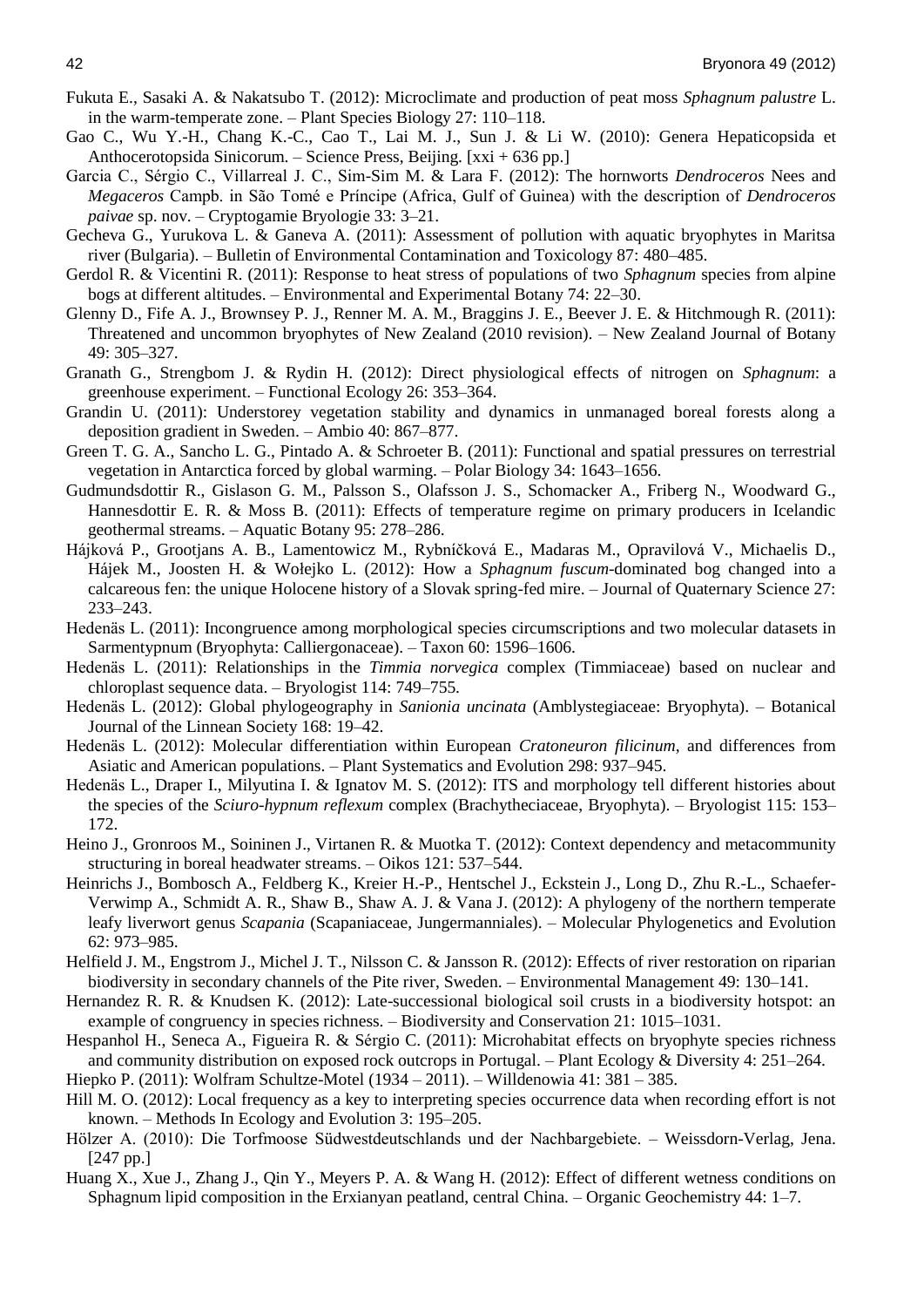- Fukuta E., Sasaki A. & Nakatsubo T. (2012): Microclimate and production of peat moss *Sphagnum palustre* L. in the warm-temperate zone. – Plant Species Biology 27: 110–118.
- Gao C., Wu Y.-H., Chang K.-C., Cao T., Lai M. J., Sun J. & Li W. (2010): Genera Hepaticopsida et Anthocerotopsida Sinicorum. – Science Press, Beijing. [xxi + 636 pp.]
- Garcia C., Sérgio C., Villarreal J. C., Sim-Sim M. & Lara F. (2012): The hornworts *Dendroceros* Nees and *Megaceros* Campb. in São Tomé e Príncipe (Africa, Gulf of Guinea) with the description of *Dendroceros paivae* sp. nov. – Cryptogamie Bryologie 33: 3–21.
- Gecheva G., Yurukova L. & Ganeva A. (2011): Assessment of pollution with aquatic bryophytes in Maritsa river (Bulgaria). – Bulletin of Environmental Contamination and Toxicology 87: 480–485.
- Gerdol R. & Vicentini R. (2011): Response to heat stress of populations of two *Sphagnum* species from alpine bogs at different altitudes. – Environmental and Experimental Botany 74: 22–30.
- Glenny D., Fife A. J., Brownsey P. J., Renner M. A. M., Braggins J. E., Beever J. E. & Hitchmough R. (2011): Threatened and uncommon bryophytes of New Zealand (2010 revision). – New Zealand Journal of Botany 49: 305–327.
- Granath G., Strengbom J. & Rydin H. (2012): Direct physiological effects of nitrogen on *Sphagnum*: a greenhouse experiment. – Functional Ecology 26: 353–364.
- Grandin U. (2011): Understorey vegetation stability and dynamics in unmanaged boreal forests along a deposition gradient in Sweden. – Ambio 40: 867–877.
- Green T. G. A., Sancho L. G., Pintado A. & Schroeter B. (2011): Functional and spatial pressures on terrestrial vegetation in Antarctica forced by global warming. – Polar Biology 34: 1643–1656.
- Gudmundsdottir R., Gislason G. M., Palsson S., Olafsson J. S., Schomacker A., Friberg N., Woodward G., Hannesdottir E. R. & Moss B. (2011): Effects of temperature regime on primary producers in Icelandic geothermal streams. – Aquatic Botany 95: 278–286.
- Hájková P., Grootjans A. B., Lamentowicz M., Rybníčková E., Madaras M., Opravilová V., Michaelis D., Hájek M., Joosten H. & Wołejko L. (2012): How a *Sphagnum fuscum*-dominated bog changed into a calcareous fen: the unique Holocene history of a Slovak spring-fed mire. – Journal of Quaternary Science 27: 233–243.
- Hedenäs L. (2011): Incongruence among morphological species circumscriptions and two molecular datasets in Sarmentypnum (Bryophyta: Calliergonaceae). – Taxon 60: 1596–1606.
- Hedenäs L. (2011): Relationships in the *Timmia norvegica* complex (Timmiaceae) based on nuclear and chloroplast sequence data. – Bryologist 114: 749–755.
- Hedenäs L. (2012): Global phylogeography in *Sanionia uncinata* (Amblystegiaceae: Bryophyta). Botanical Journal of the Linnean Society 168: 19–42.
- Hedenäs L. (2012): Molecular differentiation within European *Cratoneuron filicinum*, and differences from Asiatic and American populations. – Plant Systematics and Evolution 298: 937–945.
- Hedenäs L., Draper I., Milyutina I. & Ignatov M. S. (2012): ITS and morphology tell different histories about the species of the *Sciuro-hypnum reflexum* complex (Brachytheciaceae, Bryophyta). – Bryologist 115: 153– 172.
- Heino J., Gronroos M., Soininen J., Virtanen R. & Muotka T. (2012): Context dependency and metacommunity structuring in boreal headwater streams. – Oikos 121: 537–544.
- Heinrichs J., Bombosch A., Feldberg K., Kreier H.-P., Hentschel J., Eckstein J., Long D., Zhu R.-L., Schaefer-Verwimp A., Schmidt A. R., Shaw B., Shaw A. J. & Vana J. (2012): A phylogeny of the northern temperate leafy liverwort genus *Scapania* (Scapaniaceae, Jungermanniales). – Molecular Phylogenetics and Evolution 62: 973–985.
- Helfield J. M., Engstrom J., Michel J. T., Nilsson C. & Jansson R. (2012): Effects of river restoration on riparian biodiversity in secondary channels of the Pite river, Sweden. – Environmental Management 49: 130–141.
- Hernandez R. R. & Knudsen K. (2012): Late-successional biological soil crusts in a biodiversity hotspot: an example of congruency in species richness. – Biodiversity and Conservation 21: 1015–1031.
- Hespanhol H., Seneca A., Figueira R. & Sérgio C. (2011): Microhabitat effects on bryophyte species richness and community distribution on exposed rock outcrops in Portugal. – Plant Ecology & Diversity 4: 251–264.
- Hiepko P. (2011): Wolfram Schultze-Motel (1934 2011). Willdenowia 41: 381 385.
- Hill M. O. (2012): Local frequency as a key to interpreting species occurrence data when recording effort is not known. – Methods In Ecology and Evolution 3: 195–205.
- Hölzer A. (2010): Die Torfmoose Südwestdeutschlands und der Nachbargebiete. Weissdorn-Verlag, Jena. [247 pp.]
- Huang X., Xue J., Zhang J., Qin Y., Meyers P. A. & Wang H. (2012): Effect of different wetness conditions on Sphagnum lipid composition in the Erxianyan peatland, central China. – Organic Geochemistry 44: 1–7.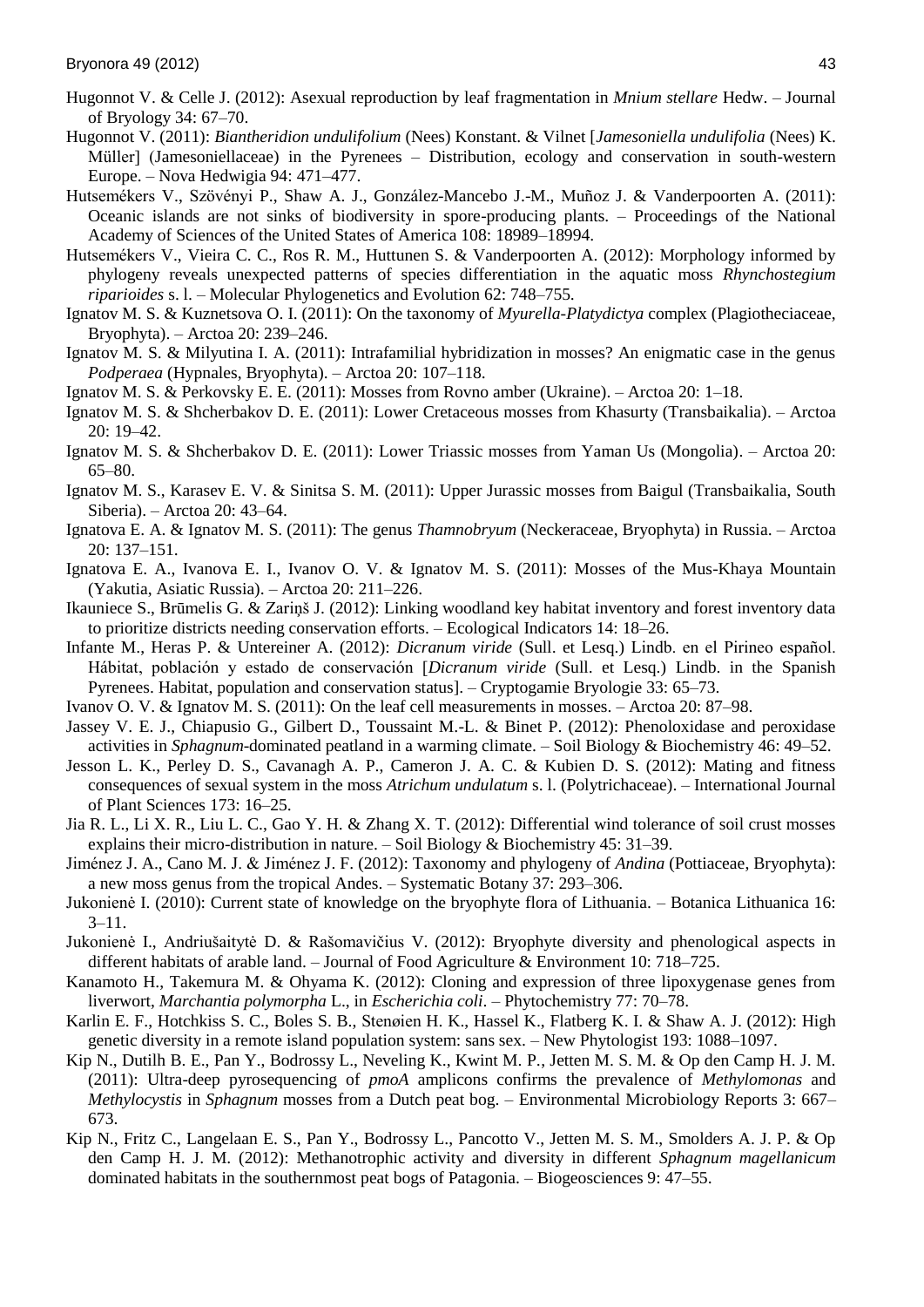- Hugonnot V. & Celle J. (2012): Asexual reproduction by leaf fragmentation in *Mnium stellare* Hedw. Journal of Bryology 34: 67–70.
- Hugonnot V. (2011): *Biantheridion undulifolium* (Nees) Konstant. & Vilnet [*Jamesoniella undulifolia* (Nees) K. Müller] (Jamesoniellaceae) in the Pyrenees – Distribution, ecology and conservation in south-western Europe. – Nova Hedwigia 94: 471–477.
- Hutsemékers V., Szövényi P., Shaw A. J., González-Mancebo J.-M., Muñoz J. & Vanderpoorten A. (2011): Oceanic islands are not sinks of biodiversity in spore-producing plants. – Proceedings of the National Academy of Sciences of the United States of America 108: 18989–18994.
- Hutsemékers V., Vieira C. C., Ros R. M., Huttunen S. & Vanderpoorten A. (2012): Morphology informed by phylogeny reveals unexpected patterns of species differentiation in the aquatic moss *Rhynchostegium riparioides* s. l. – Molecular Phylogenetics and Evolution 62: 748–755.
- Ignatov M. S. & Kuznetsova O. I. (2011): On the taxonomy of *Myurella-Platydictya* complex (Plagiotheciaceae, Bryophyta). – Arctoa 20: 239–246.
- Ignatov M. S. & Milyutina I. A. (2011): Intrafamilial hybridization in mosses? An enigmatic case in the genus *Podperaea* (Hypnales, Bryophyta). – Arctoa 20: 107–118.

Ignatov M. S. & Perkovsky E. E. (2011): Mosses from Rovno amber (Ukraine). – Arctoa 20: 1–18.

- Ignatov M. S. & Shcherbakov D. E. (2011): Lower Cretaceous mosses from Khasurty (Transbaikalia). Arctoa 20: 19–42.
- Ignatov M. S. & Shcherbakov D. E. (2011): Lower Triassic mosses from Yaman Us (Mongolia). Arctoa 20: 65–80.
- Ignatov M. S., Karasev E. V. & Sinitsa S. M. (2011): Upper Jurassic mosses from Baigul (Transbaikalia, South Siberia). – Arctoa 20: 43–64.
- Ignatova E. A. & Ignatov M. S. (2011): The genus *Thamnobryum* (Neckeraceae, Bryophyta) in Russia. Arctoa 20: 137–151.
- Ignatova E. A., Ivanova E. I., Ivanov O. V. & Ignatov M. S. (2011): Mosses of the Mus-Khaya Mountain (Yakutia, Asiatic Russia). – Arctoa 20: 211–226.
- Ikauniece S., Brūmelis G. & Zariņš J. (2012): Linking woodland key habitat inventory and forest inventory data to prioritize districts needing conservation efforts. – Ecological Indicators 14: 18–26.
- Infante M., Heras P. & Untereiner A. (2012): *Dicranum viride* (Sull. et Lesq.) Lindb. en el Pirineo español. Hábitat, población y estado de conservación [*Dicranum viride* (Sull. et Lesq.) Lindb. in the Spanish Pyrenees. Habitat, population and conservation status]. – Cryptogamie Bryologie 33: 65–73.
- Ivanov O. V. & Ignatov M. S. (2011): On the leaf cell measurements in mosses. Arctoa 20: 87–98.
- Jassey V. E. J., Chiapusio G., Gilbert D., Toussaint M.-L. & Binet P. (2012): Phenoloxidase and peroxidase activities in *Sphagnum*-dominated peatland in a warming climate. – Soil Biology & Biochemistry 46: 49–52.
- Jesson L. K., Perley D. S., Cavanagh A. P., Cameron J. A. C. & Kubien D. S. (2012): Mating and fitness consequences of sexual system in the moss *Atrichum undulatum* s. l. (Polytrichaceae). – International Journal of Plant Sciences 173: 16–25.
- Jia R. L., Li X. R., Liu L. C., Gao Y. H. & Zhang X. T. (2012): Differential wind tolerance of soil crust mosses explains their micro-distribution in nature. – Soil Biology & Biochemistry 45: 31–39.
- Jiménez J. A., Cano M. J. & Jiménez J. F. (2012): Taxonomy and phylogeny of *Andina* (Pottiaceae, Bryophyta): a new moss genus from the tropical Andes. – Systematic Botany 37: 293–306.
- Jukonienė I. (2010): Current state of knowledge on the bryophyte flora of Lithuania. Botanica Lithuanica 16: 3–11.
- Jukonienė I., Andriušaitytė D. & Rašomavičius V. (2012): Bryophyte diversity and phenological aspects in different habitats of arable land. – Journal of Food Agriculture & Environment 10: 718–725.
- Kanamoto H., Takemura M. & Ohyama K. (2012): Cloning and expression of three lipoxygenase genes from liverwort, *Marchantia polymorpha* L., in *Escherichia coli*. – Phytochemistry 77: 70–78.
- Karlin E. F., Hotchkiss S. C., Boles S. B., Stenøien H. K., Hassel K., Flatberg K. I. & Shaw A. J. (2012): High genetic diversity in a remote island population system: sans sex. – New Phytologist 193: 1088–1097.
- Kip N., Dutilh B. E., Pan Y., Bodrossy L., Neveling K., Kwint M. P., Jetten M. S. M. & Op den Camp H. J. M. (2011): Ultra-deep pyrosequencing of *pmoA* amplicons confirms the prevalence of *Methylomonas* and *Methylocystis* in *Sphagnum* mosses from a Dutch peat bog. – Environmental Microbiology Reports 3: 667– 673.
- Kip N., Fritz C., Langelaan E. S., Pan Y., Bodrossy L., Pancotto V., Jetten M. S. M., Smolders A. J. P. & Op den Camp H. J. M. (2012): Methanotrophic activity and diversity in different *Sphagnum magellanicum* dominated habitats in the southernmost peat bogs of Patagonia. – Biogeosciences 9: 47–55.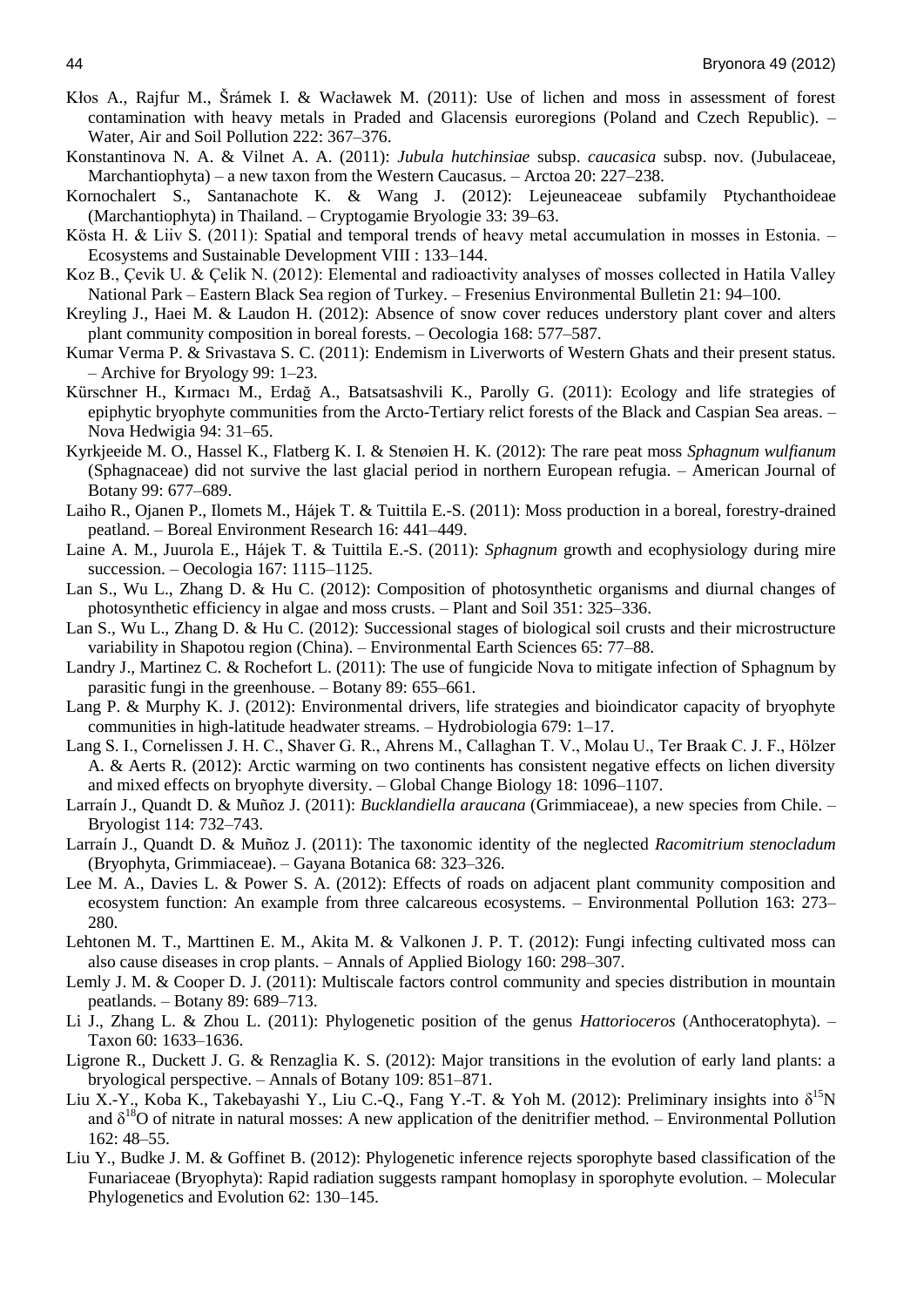- Kłos A., Rajfur M., Šrámek I. & Wacławek M. (2011): Use of lichen and moss in assessment of forest contamination with heavy metals in Praded and Glacensis euroregions (Poland and Czech Republic). – Water, Air and Soil Pollution 222: 367–376.
- Konstantinova N. A. & Vilnet A. A. (2011): *Jubula hutchinsiae* subsp. *caucasica* subsp. nov. (Jubulaceae, Marchantiophyta) – a new taxon from the Western Caucasus. – Arctoa 20: 227–238.
- Kornochalert S., Santanachote K. & Wang J. (2012): Lejeuneaceae subfamily Ptychanthoideae (Marchantiophyta) in Thailand. – Cryptogamie Bryologie 33: 39–63.
- Kösta H. & Liiv S. (2011): Spatial and temporal trends of heavy metal accumulation in mosses in Estonia. Ecosystems and Sustainable Development VIII : 133–144.
- Koz B., Çevik U. & Çelik N. (2012): Elemental and radioactivity analyses of mosses collected in Hatila Valley National Park – Eastern Black Sea region of Turkey. – Fresenius Environmental Bulletin 21: 94–100.
- Kreyling J., Haei M. & Laudon H. (2012): Absence of snow cover reduces understory plant cover and alters plant community composition in boreal forests. – Oecologia 168: 577–587.
- Kumar Verma P. & Srivastava S. C. (2011): Endemism in Liverworts of Western Ghats and their present status. – Archive for Bryology 99: 1–23.
- Kürschner H., Kırmacı M., Erdağ A., Batsatsashvili K., Parolly G. (2011): Ecology and life strategies of epiphytic bryophyte communities from the Arcto-Tertiary relict forests of the Black and Caspian Sea areas. – Nova Hedwigia 94: 31–65.
- Kyrkjeeide M. O., Hassel K., Flatberg K. I. & Stenøien H. K. (2012): The rare peat moss *Sphagnum wulfianum* (Sphagnaceae) did not survive the last glacial period in northern European refugia. – American Journal of Botany 99: 677–689.
- Laiho R., Ojanen P., Ilomets M., Hájek T. & Tuittila E.-S. (2011): Moss production in a boreal, forestry-drained peatland. – Boreal Environment Research 16: 441–449.
- Laine A. M., Juurola E., Hájek T. & Tuittila E.-S. (2011): *Sphagnum* growth and ecophysiology during mire succession. – Oecologia 167: 1115–1125.
- Lan S., Wu L., Zhang D. & Hu C. (2012): Composition of photosynthetic organisms and diurnal changes of photosynthetic efficiency in algae and moss crusts. – Plant and Soil 351: 325–336.
- Lan S., Wu L., Zhang D. & Hu C. (2012): Successional stages of biological soil crusts and their microstructure variability in Shapotou region (China). – Environmental Earth Sciences 65: 77–88.
- Landry J., Martinez C. & Rochefort L. (2011): The use of fungicide Nova to mitigate infection of Sphagnum by parasitic fungi in the greenhouse. – Botany 89: 655–661.
- Lang P. & Murphy K. J. (2012): Environmental drivers, life strategies and bioindicator capacity of bryophyte communities in high-latitude headwater streams. – Hydrobiologia 679: 1–17.
- Lang S. I., Cornelissen J. H. C., Shaver G. R., Ahrens M., Callaghan T. V., Molau U., Ter Braak C. J. F., Hölzer A. & Aerts R. (2012): Arctic warming on two continents has consistent negative effects on lichen diversity and mixed effects on bryophyte diversity. – Global Change Biology 18: 1096–1107.
- Larraín J., Quandt D. & Muñoz J. (2011): *Bucklandiella araucana* (Grimmiaceae), a new species from Chile. Bryologist 114: 732–743.
- Larraín J., Quandt D. & Muñoz J. (2011): The taxonomic identity of the neglected *Racomitrium stenocladum* (Bryophyta, Grimmiaceae). – Gayana Botanica 68: 323–326.
- Lee M. A., Davies L. & Power S. A. (2012): Effects of roads on adjacent plant community composition and ecosystem function: An example from three calcareous ecosystems. – Environmental Pollution 163: 273– 280.
- Lehtonen M. T., Marttinen E. M., Akita M. & Valkonen J. P. T. (2012): Fungi infecting cultivated moss can also cause diseases in crop plants. – Annals of Applied Biology 160: 298–307.
- Lemly J. M. & Cooper D. J. (2011): Multiscale factors control community and species distribution in mountain peatlands. – Botany 89: 689–713.
- Li J., Zhang L. & Zhou L. (2011): Phylogenetic position of the genus *Hattorioceros* (Anthoceratophyta). Taxon 60: 1633–1636.
- Ligrone R., Duckett J. G. & Renzaglia K. S. (2012): Major transitions in the evolution of early land plants: a bryological perspective. – Annals of Botany 109: 851–871.
- Liu X.-Y., Koba K., Takebayashi Y., Liu C.-Q., Fang Y.-T. & Yoh M. (2012): Preliminary insights into  $\delta^{15}N$ and  $\delta^{18}$ O of nitrate in natural mosses: A new application of the denitrifier method. – Environmental Pollution 162: 48–55.
- Liu Y., Budke J. M. & Goffinet B. (2012): Phylogenetic inference rejects sporophyte based classification of the Funariaceae (Bryophyta): Rapid radiation suggests rampant homoplasy in sporophyte evolution. – Molecular Phylogenetics and Evolution 62: 130–145.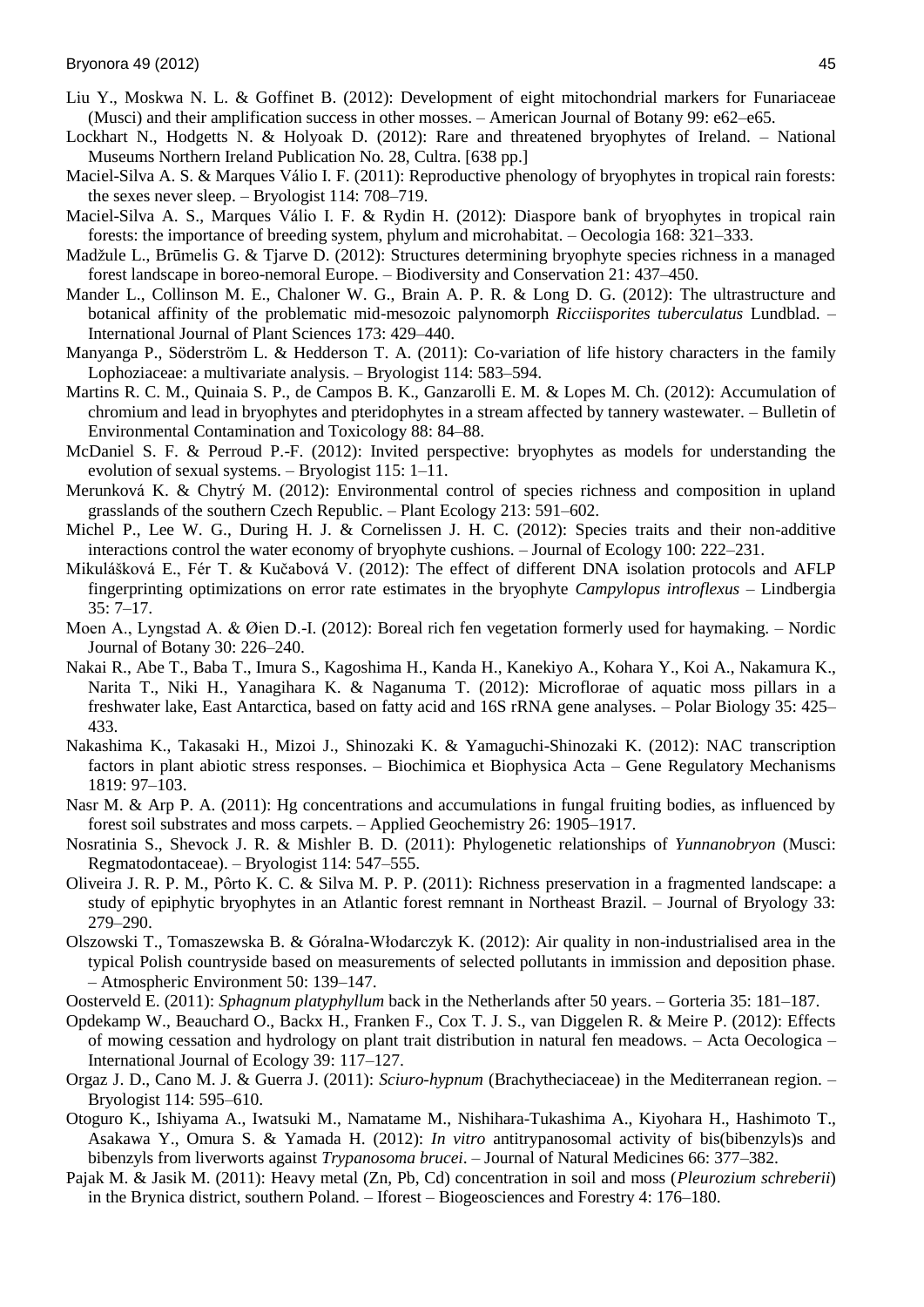- Liu Y., Moskwa N. L. & Goffinet B. (2012): Development of eight mitochondrial markers for Funariaceae (Musci) and their amplification success in other mosses. – American Journal of Botany 99: e62–e65.
- Lockhart N., Hodgetts N. & Holyoak D. (2012): Rare and threatened bryophytes of Ireland. National Museums Northern Ireland Publication No. 28, Cultra. [638 pp.]
- Maciel-Silva A. S. & Marques Válio I. F. (2011): Reproductive phenology of bryophytes in tropical rain forests: the sexes never sleep. – Bryologist 114: 708–719.
- Maciel-Silva A. S., Marques Válio I. F. & Rydin H. (2012): Diaspore bank of bryophytes in tropical rain forests: the importance of breeding system, phylum and microhabitat. – Oecologia 168: 321–333.
- Madžule L., Brūmelis G. & Tjarve D. (2012): Structures determining bryophyte species richness in a managed forest landscape in boreo-nemoral Europe. – Biodiversity and Conservation 21: 437–450.
- Mander L., Collinson M. E., Chaloner W. G., Brain A. P. R. & Long D. G. (2012): The ultrastructure and botanical affinity of the problematic mid-mesozoic palynomorph *Ricciisporites tuberculatus* Lundblad. – International Journal of Plant Sciences 173: 429–440.
- Manyanga P., Söderström L. & Hedderson T. A. (2011): Co-variation of life history characters in the family Lophoziaceae: a multivariate analysis. – Bryologist 114: 583–594.
- Martins R. C. M., Quinaia S. P., de Campos B. K., Ganzarolli E. M. & Lopes M. Ch. (2012): Accumulation of chromium and lead in bryophytes and pteridophytes in a stream affected by tannery wastewater. – Bulletin of Environmental Contamination and Toxicology 88: 84–88.
- McDaniel S. F. & Perroud P.-F. (2012): Invited perspective: bryophytes as models for understanding the evolution of sexual systems. – Bryologist 115: 1–11.
- Merunková K. & Chytrý M. (2012): Environmental control of species richness and composition in upland grasslands of the southern Czech Republic. – Plant Ecology 213: 591–602.
- Michel P., Lee W. G., During H. J. & Cornelissen J. H. C. (2012): Species traits and their non-additive interactions control the water economy of bryophyte cushions. – Journal of Ecology 100: 222–231.
- Mikulášková E., Fér T. & Kučabová V. (2012): The effect of different DNA isolation protocols and AFLP fingerprinting optimizations on error rate estimates in the bryophyte *Campylopus introflexus* – Lindbergia 35: 7–17.
- Moen A., Lyngstad A. & Øien D.-I. (2012): Boreal rich fen vegetation formerly used for haymaking. Nordic Journal of Botany 30: 226–240.
- Nakai R., Abe T., Baba T., Imura S., Kagoshima H., Kanda H., Kanekiyo A., Kohara Y., Koi A., Nakamura K., Narita T., Niki H., Yanagihara K. & Naganuma T. (2012): Microflorae of aquatic moss pillars in a freshwater lake, East Antarctica, based on fatty acid and 16S rRNA gene analyses. – Polar Biology 35: 425– 433.
- Nakashima K., Takasaki H., Mizoi J., Shinozaki K. & Yamaguchi-Shinozaki K. (2012): NAC transcription factors in plant abiotic stress responses. – Biochimica et Biophysica Acta – Gene Regulatory Mechanisms 1819: 97–103.
- Nasr M. & Arp P. A. (2011): Hg concentrations and accumulations in fungal fruiting bodies, as influenced by forest soil substrates and moss carpets. – Applied Geochemistry 26: 1905–1917.
- Nosratinia S., Shevock J. R. & Mishler B. D. (2011): Phylogenetic relationships of *Yunnanobryon* (Musci: Regmatodontaceae). – Bryologist 114: 547–555.
- Oliveira J. R. P. M., Pôrto K. C. & Silva M. P. P. (2011): Richness preservation in a fragmented landscape: a study of epiphytic bryophytes in an Atlantic forest remnant in Northeast Brazil. – Journal of Bryology 33: 279–290.
- Olszowski T., Tomaszewska B. & Góralna-Włodarczyk K. (2012): Air quality in non-industrialised area in the typical Polish countryside based on measurements of selected pollutants in immission and deposition phase. – Atmospheric Environment 50: 139–147.
- Oosterveld E. (2011): *Sphagnum platyphyllum* back in the Netherlands after 50 years. Gorteria 35: 181–187.
- Opdekamp W., Beauchard O., Backx H., Franken F., Cox T. J. S., van Diggelen R. & Meire P. (2012): Effects of mowing cessation and hydrology on plant trait distribution in natural fen meadows. – Acta Oecologica – International Journal of Ecology 39: 117–127.
- Orgaz J. D., Cano M. J. & Guerra J. (2011): *Sciuro-hypnum* (Brachytheciaceae) in the Mediterranean region. Bryologist 114: 595–610.
- Otoguro K., Ishiyama A., Iwatsuki M., Namatame M., Nishihara-Tukashima A., Kiyohara H., Hashimoto T., Asakawa Y., Omura S. & Yamada H. (2012): *In vitro* antitrypanosomal activity of bis(bibenzyls)s and bibenzyls from liverworts against *Trypanosoma brucei*. – Journal of Natural Medicines 66: 377–382.
- Pajak M. & Jasik M. (2011): Heavy metal (Zn, Pb, Cd) concentration in soil and moss (*Pleurozium schreberii*) in the Brynica district, southern Poland. – Iforest – Biogeosciences and Forestry 4: 176–180.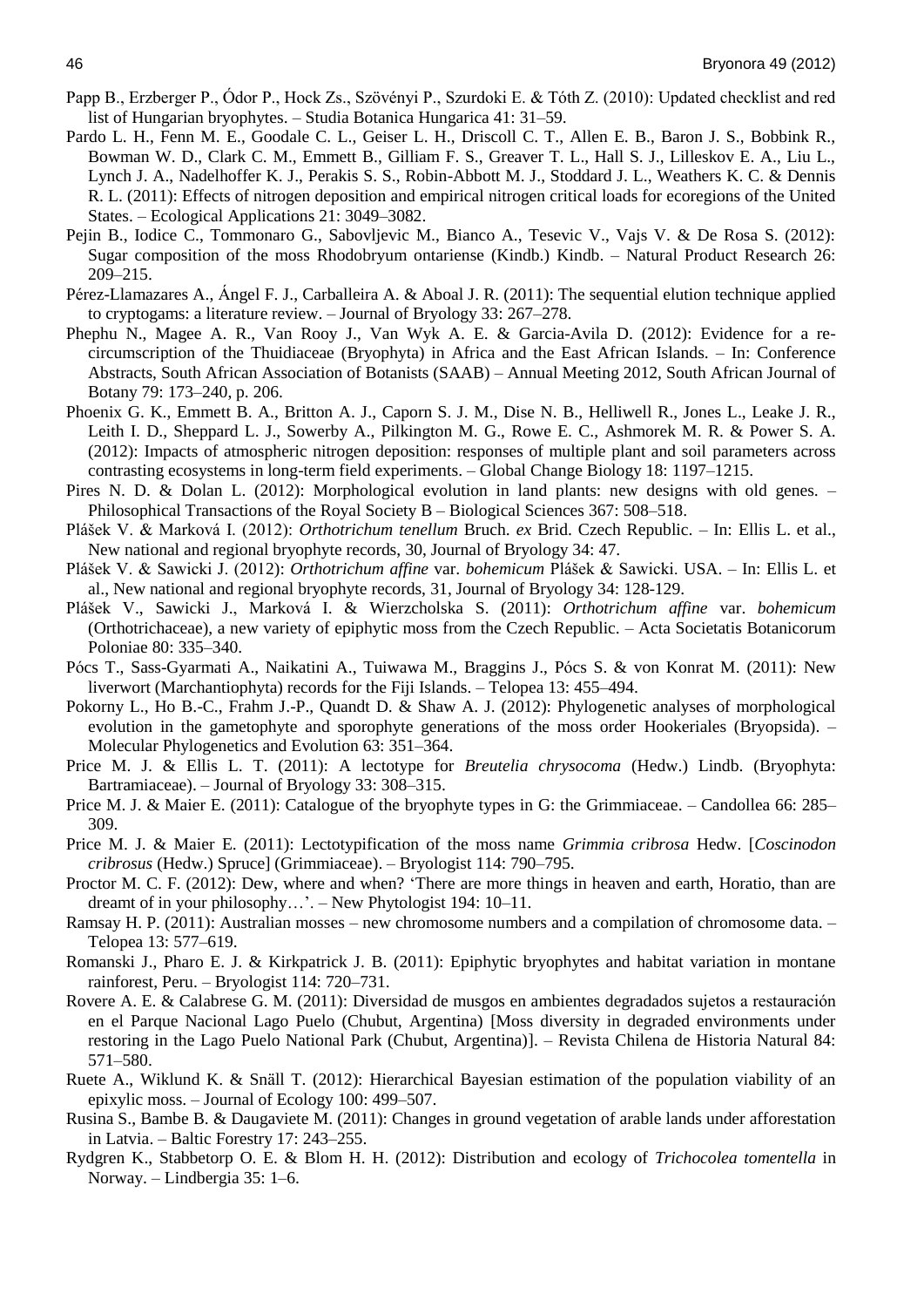- Papp B., Erzberger P., Ódor P., Hock Zs., Szövényi P., Szurdoki E. & Tóth Z. (2010): Updated checklist and red list of Hungarian bryophytes. – Studia Botanica Hungarica 41: 31–59.
- Pardo L. H., Fenn M. E., Goodale C. L., Geiser L. H., Driscoll C. T., Allen E. B., Baron J. S., Bobbink R., Bowman W. D., Clark C. M., Emmett B., Gilliam F. S., Greaver T. L., Hall S. J., Lilleskov E. A., Liu L., Lynch J. A., Nadelhoffer K. J., Perakis S. S., Robin-Abbott M. J., Stoddard J. L., Weathers K. C. & Dennis R. L. (2011): Effects of nitrogen deposition and empirical nitrogen critical loads for ecoregions of the United States. – Ecological Applications 21: 3049–3082.
- Pejin B., Iodice C., Tommonaro G., Sabovljevic M., Bianco A., Tesevic V., Vajs V. & De Rosa S. (2012): Sugar composition of the moss Rhodobryum ontariense (Kindb.) Kindb. – Natural Product Research 26: 209–215.
- Pérez-Llamazares A., Ángel F. J., Carballeira A. & Aboal J. R. (2011): The sequential elution technique applied to cryptogams: a literature review. – Journal of Bryology 33: 267–278.
- Phephu N., Magee A. R., Van Rooy J., Van Wyk A. E. & Garcia-Avila D. (2012): Evidence for a recircumscription of the Thuidiaceae (Bryophyta) in Africa and the East African Islands. – In: Conference Abstracts, South African Association of Botanists (SAAB) – Annual Meeting 2012, South African Journal of Botany 79: 173–240, p. 206.
- Phoenix G. K., Emmett B. A., Britton A. J., Caporn S. J. M., Dise N. B., Helliwell R., Jones L., Leake J. R., Leith I. D., Sheppard L. J., Sowerby A., Pilkington M. G., Rowe E. C., Ashmorek M. R. & Power S. A. (2012): Impacts of atmospheric nitrogen deposition: responses of multiple plant and soil parameters across contrasting ecosystems in long-term field experiments. – Global Change Biology 18: 1197–1215.
- Pires N. D. & Dolan L. (2012): Morphological evolution in land plants: new designs with old genes. Philosophical Transactions of the Royal Society B – Biological Sciences 367: 508–518.
- Plášek V. & Marková I. (2012): *Orthotrichum tenellum* Bruch. *ex* Brid. Czech Republic. In: Ellis L. et al., New national and regional bryophyte records, 30, Journal of Bryology 34: 47.
- Plášek V. & Sawicki J. (2012): *Orthotrichum affine* var. *bohemicum* Plášek & Sawicki. USA. In: Ellis L. et al., New national and regional bryophyte records, 31, Journal of Bryology 34: 128-129.
- Plášek V., Sawicki J., Marková I. & Wierzcholska S. (2011): *Orthotrichum affine* var. *bohemicum* (Orthotrichaceae), a new variety of epiphytic moss from the Czech Republic. – Acta Societatis Botanicorum Poloniae 80: 335–340.
- Pócs T., Sass-Gyarmati A., Naikatini A., Tuiwawa M., Braggins J., Pócs S. & von Konrat M. (2011): New liverwort (Marchantiophyta) records for the Fiji Islands. – Telopea 13: 455–494.
- Pokorny L., Ho B.-C., Frahm J.-P., Quandt D. & Shaw A. J. (2012): Phylogenetic analyses of morphological evolution in the gametophyte and sporophyte generations of the moss order Hookeriales (Bryopsida). – Molecular Phylogenetics and Evolution 63: 351–364.
- Price M. J. & Ellis L. T. (2011): A lectotype for *Breutelia chrysocoma* (Hedw.) Lindb. (Bryophyta: Bartramiaceae). – Journal of Bryology 33: 308–315.
- Price M. J. & Maier E. (2011): Catalogue of the bryophyte types in G: the Grimmiaceae. Candollea 66: 285– 309.
- Price M. J. & Maier E. (2011): Lectotypification of the moss name *Grimmia cribrosa* Hedw. [*Coscinodon cribrosus* (Hedw.) Spruce] (Grimmiaceae). – Bryologist 114: 790–795.
- Proctor M. C. F. (2012): Dew, where and when? 'There are more things in heaven and earth, Horatio, than are dreamt of in your philosophy…'. – New Phytologist 194: 10–11.
- Ramsay H. P. (2011): Australian mosses new chromosome numbers and a compilation of chromosome data. Telopea 13: 577–619.
- Romanski J., Pharo E. J. & Kirkpatrick J. B. (2011): Epiphytic bryophytes and habitat variation in montane rainforest, Peru. – Bryologist 114: 720–731.
- Rovere A. E. & Calabrese G. M. (2011): Diversidad de musgos en ambientes degradados sujetos a restauración en el Parque Nacional Lago Puelo (Chubut, Argentina) [Moss diversity in degraded environments under restoring in the Lago Puelo National Park (Chubut, Argentina)]. – Revista Chilena de Historia Natural 84: 571–580.
- Ruete A., Wiklund K. & Snäll T. (2012): Hierarchical Bayesian estimation of the population viability of an epixylic moss. – Journal of Ecology 100: 499–507.
- Rusina S., Bambe B. & Daugaviete M. (2011): Changes in ground vegetation of arable lands under afforestation in Latvia. – Baltic Forestry 17: 243–255.
- Rydgren K., Stabbetorp O. E. & Blom H. H. (2012): Distribution and ecology of *Trichocolea tomentella* in Norway. – Lindbergia 35: 1–6.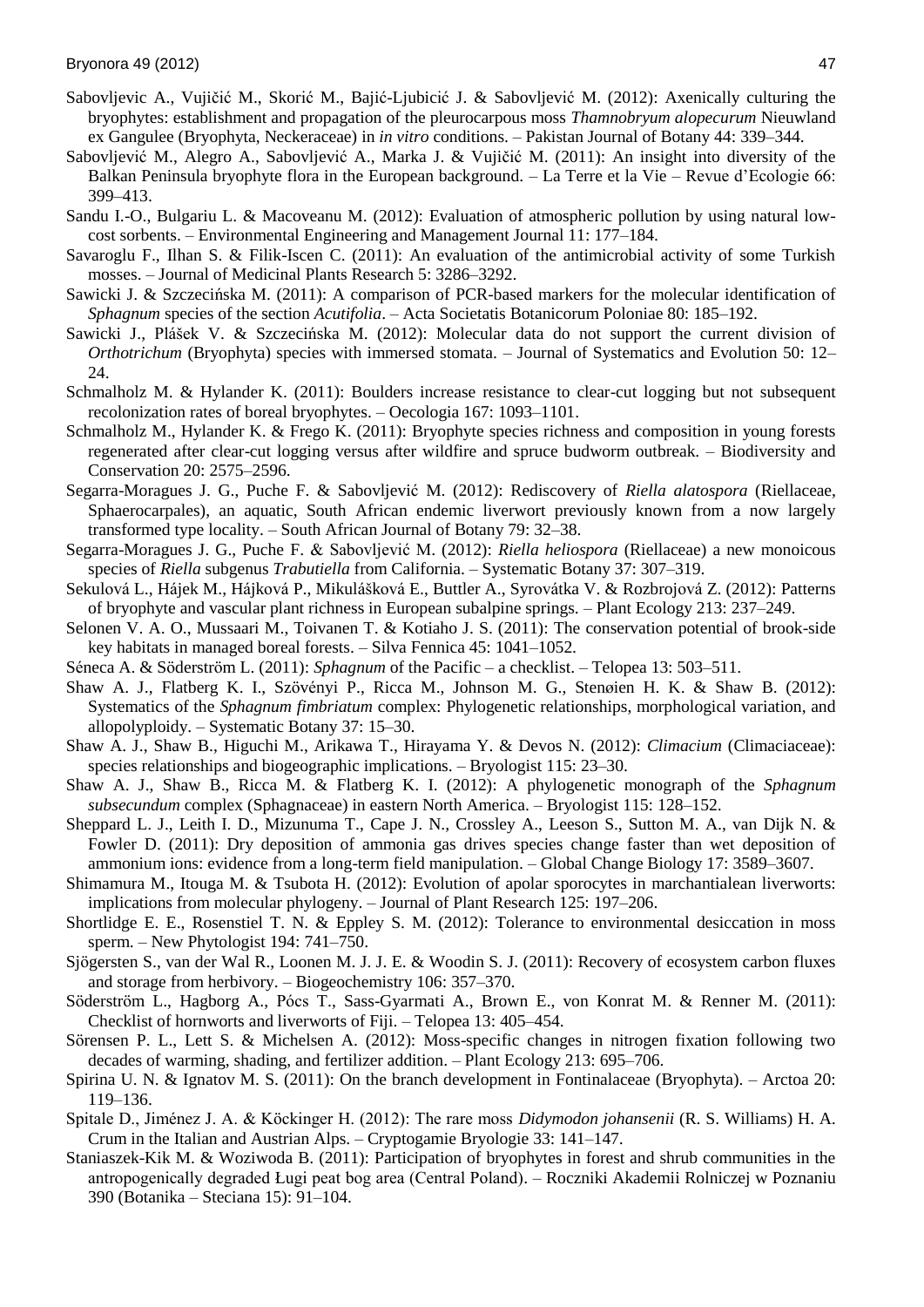- Sabovljevic A., Vujičić M., Skorić M., Bajić-Ljubicić J. & Sabovljević M. (2012): Axenically culturing the bryophytes: establishment and propagation of the pleurocarpous moss *Thamnobryum alopecurum* Nieuwland ex Gangulee (Bryophyta, Neckeraceae) in *in vitro* conditions. – Pakistan Journal of Botany 44: 339–344.
- Sabovljević M., Alegro A., Sabovljević A., Marka J. & Vujičić M. (2011): An insight into diversity of the Balkan Peninsula bryophyte flora in the European background. – La Terre et la Vie – Revue d'Ecologie 66: 399–413.
- Sandu I.-O., Bulgariu L. & Macoveanu M. (2012): Evaluation of atmospheric pollution by using natural lowcost sorbents. – Environmental Engineering and Management Journal 11: 177–184.
- Savaroglu F., Ilhan S. & Filik-Iscen C. (2011): An evaluation of the antimicrobial activity of some Turkish mosses. – Journal of Medicinal Plants Research 5: 3286–3292.
- Sawicki J. & Szczecińska M. (2011): A comparison of PCR-based markers for the molecular identification of *Sphagnum* species of the section *Acutifolia*. – Acta Societatis Botanicorum Poloniae 80: 185–192.
- Sawicki J., Plášek V. & Szczecińska M. (2012): Molecular data do not support the current division of *Orthotrichum* (Bryophyta) species with immersed stomata. – Journal of Systematics and Evolution 50: 12– 24.
- Schmalholz M. & Hylander K. (2011): Boulders increase resistance to clear-cut logging but not subsequent recolonization rates of boreal bryophytes. – Oecologia 167: 1093–1101.
- Schmalholz M., Hylander K. & Frego K. (2011): Bryophyte species richness and composition in young forests regenerated after clear-cut logging versus after wildfire and spruce budworm outbreak. – Biodiversity and Conservation 20: 2575–2596.
- Segarra-Moragues J. G., Puche F. & Sabovljević M. (2012): Rediscovery of *Riella alatospora* (Riellaceae, Sphaerocarpales), an aquatic, South African endemic liverwort previously known from a now largely transformed type locality. – South African Journal of Botany 79: 32–38.
- Segarra-Moragues J. G., Puche F. & Sabovljević M. (2012): *Riella heliospora* (Riellaceae) a new monoicous species of *Riella* subgenus *Trabutiella* from California. – Systematic Botany 37: 307–319.
- Sekulová L., Hájek M., Hájková P., Mikulášková E., Buttler A., Syrovátka V. & Rozbrojová Z. (2012): Patterns of bryophyte and vascular plant richness in European subalpine springs. – Plant Ecology 213: 237–249.
- Selonen V. A. O., Mussaari M., Toivanen T. & Kotiaho J. S. (2011): The conservation potential of brook-side key habitats in managed boreal forests. – Silva Fennica 45: 1041–1052.
- Séneca A. & Söderström L. (2011): *Sphagnum* of the Pacific a checklist. Telopea 13: 503–511.
- Shaw A. J., Flatberg K. I., Szövényi P., Ricca M., Johnson M. G., Stenøien H. K. & Shaw B. (2012): Systematics of the *Sphagnum fimbriatum* complex: Phylogenetic relationships, morphological variation, and allopolyploidy. – Systematic Botany 37: 15–30.
- Shaw A. J., Shaw B., Higuchi M., Arikawa T., Hirayama Y. & Devos N. (2012): *Climacium* (Climaciaceae): species relationships and biogeographic implications. – Bryologist 115: 23–30.
- Shaw A. J., Shaw B., Ricca M. & Flatberg K. I. (2012): A phylogenetic monograph of the *Sphagnum subsecundum* complex (Sphagnaceae) in eastern North America. – Bryologist 115: 128–152.
- Sheppard L. J., Leith I. D., Mizunuma T., Cape J. N., Crossley A., Leeson S., Sutton M. A., van Dijk N. & Fowler D. (2011): Dry deposition of ammonia gas drives species change faster than wet deposition of ammonium ions: evidence from a long-term field manipulation. – Global Change Biology 17: 3589–3607.
- Shimamura M., Itouga M. & Tsubota H. (2012): Evolution of apolar sporocytes in marchantialean liverworts: implications from molecular phylogeny. – Journal of Plant Research 125: 197–206.
- Shortlidge E. E., Rosenstiel T. N. & Eppley S. M. (2012): Tolerance to environmental desiccation in moss sperm. – New Phytologist 194: 741–750.
- Sjögersten S., van der Wal R., Loonen M. J. J. E. & Woodin S. J. (2011): Recovery of ecosystem carbon fluxes and storage from herbivory. – Biogeochemistry 106: 357–370.
- Söderström L., Hagborg A., Pócs T., Sass-Gyarmati A., Brown E., von Konrat M. & Renner M. (2011): Checklist of hornworts and liverworts of Fiji. – Telopea 13: 405–454.
- Sörensen P. L., Lett S. & Michelsen A. (2012): Moss-specific changes in nitrogen fixation following two decades of warming, shading, and fertilizer addition. – Plant Ecology 213: 695–706.
- Spirina U. N. & Ignatov M. S. (2011): On the branch development in Fontinalaceae (Bryophyta). Arctoa 20: 119–136.
- Spitale D., Jiménez J. A. & Köckinger H. (2012): The rare moss *Didymodon johansenii* (R. S. Williams) H. A. Crum in the Italian and Austrian Alps. – Cryptogamie Bryologie 33: 141–147.
- Staniaszek-Kik M. & Woziwoda B. (2011): Participation of bryophytes in forest and shrub communities in the antropogenically degraded Ługi peat bog area (Central Poland). – Roczniki Akademii Rolniczej w Poznaniu 390 (Botanika – Steciana 15): 91–104.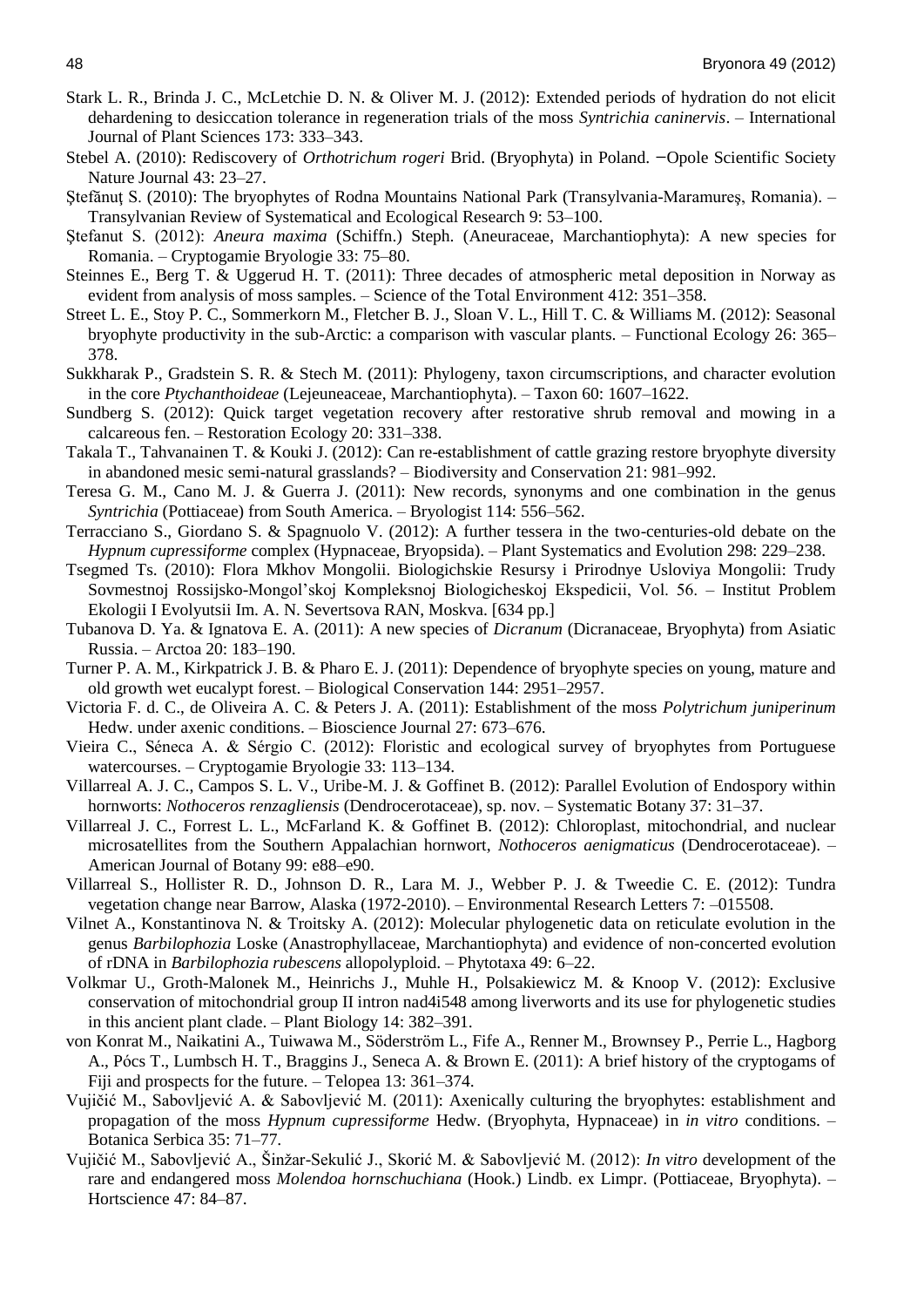- Stark L. R., Brinda J. C., McLetchie D. N. & Oliver M. J. (2012): Extended periods of hydration do not elicit dehardening to desiccation tolerance in regeneration trials of the moss *Syntrichia caninervis*. – International Journal of Plant Sciences 173: 333–343.
- Stebel A. (2010): Rediscovery of *Orthotrichum rogeri* Brid. (Bryophyta) in Poland. -Opole Scientific Society Nature Journal 43: 23–27.
- Ştefănuţ S. (2010): The bryophytes of Rodna Mountains National Park (Transylvania-Maramureş, Romania). Transylvanian Review of Systematical and Ecological Research 9: 53–100.
- Ştefanut S. (2012): *Aneura maxima* (Schiffn.) Steph. (Aneuraceae, Marchantiophyta): A new species for Romania. – Cryptogamie Bryologie 33: 75–80.
- Steinnes E., Berg T. & Uggerud H. T. (2011): Three decades of atmospheric metal deposition in Norway as evident from analysis of moss samples. – Science of the Total Environment 412: 351–358.
- Street L. E., Stoy P. C., Sommerkorn M., Fletcher B. J., Sloan V. L., Hill T. C. & Williams M. (2012): Seasonal bryophyte productivity in the sub-Arctic: a comparison with vascular plants. – Functional Ecology 26: 365– 378.
- Sukkharak P., Gradstein S. R. & Stech M. (2011): Phylogeny, taxon circumscriptions, and character evolution in the core *Ptychanthoideae* (Lejeuneaceae, Marchantiophyta). – Taxon 60: 1607–1622.
- Sundberg S. (2012): Quick target vegetation recovery after restorative shrub removal and mowing in a calcareous fen. – Restoration Ecology 20: 331–338.
- Takala T., Tahvanainen T. & Kouki J. (2012): Can re-establishment of cattle grazing restore bryophyte diversity in abandoned mesic semi-natural grasslands? – Biodiversity and Conservation 21: 981–992.
- Teresa G. M., Cano M. J. & Guerra J. (2011): New records, synonyms and one combination in the genus *Syntrichia* (Pottiaceae) from South America. – Bryologist 114: 556–562.
- Terracciano S., Giordano S. & Spagnuolo V. (2012): A further tessera in the two-centuries-old debate on the *Hypnum cupressiforme* complex (Hypnaceae, Bryopsida). – Plant Systematics and Evolution 298: 229–238.
- Tsegmed Ts. (2010): Flora Mkhov Mongolii. Biologichskie Resursy i Prirodnye Usloviya Mongolii: Trudy Sovmestnoj Rossijsko-Mongol'skoj Kompleksnoj Biologicheskoj Ekspedicii, Vol. 56. – Institut Problem Ekologii I Evolyutsii Im. A. N. Severtsova RAN, Moskva. [634 pp.]
- Tubanova D. Ya. & Ignatova E. A. (2011): A new species of *Dicranum* (Dicranaceae, Bryophyta) from Asiatic Russia. – Arctoa 20: 183–190.
- Turner P. A. M., Kirkpatrick J. B. & Pharo E. J. (2011): Dependence of bryophyte species on young, mature and old growth wet eucalypt forest. – Biological Conservation 144: 2951–2957.
- Victoria F. d. C., de Oliveira A. C. & Peters J. A. (2011): Establishment of the moss *Polytrichum juniperinum* Hedw. under axenic conditions. – Bioscience Journal 27: 673–676.
- Vieira C., Séneca A. & Sérgio C. (2012): Floristic and ecological survey of bryophytes from Portuguese watercourses. – Cryptogamie Bryologie 33: 113–134.
- Villarreal A. J. C., Campos S. L. V., Uribe-M. J. & Goffinet B. (2012): Parallel Evolution of Endospory within hornworts: *Nothoceros renzagliensis* (Dendrocerotaceae), sp. nov. – Systematic Botany 37: 31–37.
- Villarreal J. C., Forrest L. L., McFarland K. & Goffinet B. (2012): Chloroplast, mitochondrial, and nuclear microsatellites from the Southern Appalachian hornwort, *Nothoceros aenigmaticus* (Dendrocerotaceae). – American Journal of Botany 99: e88–e90.
- Villarreal S., Hollister R. D., Johnson D. R., Lara M. J., Webber P. J. & Tweedie C. E. (2012): Tundra vegetation change near Barrow, Alaska (1972-2010). – Environmental Research Letters 7: –015508.
- Vilnet A., Konstantinova N. & Troitsky A. (2012): Molecular phylogenetic data on reticulate evolution in the genus *Barbilophozia* Loske (Anastrophyllaceae, Marchantiophyta) and evidence of non-concerted evolution of rDNA in *Barbilophozia rubescens* allopolyploid. – Phytotaxa 49: 6–22.
- Volkmar U., Groth-Malonek M., Heinrichs J., Muhle H., Polsakiewicz M. & Knoop V. (2012): Exclusive conservation of mitochondrial group II intron nad4i548 among liverworts and its use for phylogenetic studies in this ancient plant clade. – Plant Biology 14: 382–391.
- von Konrat M., Naikatini A., Tuiwawa M., Söderström L., Fife A., Renner M., Brownsey P., Perrie L., Hagborg A., Pócs T., Lumbsch H. T., Braggins J., Seneca A. & Brown E. (2011): A brief history of the cryptogams of Fiji and prospects for the future. – Telopea 13: 361–374.
- Vujičić M., Sabovljević A. & Sabovljević M. (2011): Axenically culturing the bryophytes: establishment and propagation of the moss *Hypnum cupressiforme* Hedw. (Bryophyta, Hypnaceae) in *in vitro* conditions. – Botanica Serbica 35: 71–77.
- Vujičić M., Sabovljević A., Šinžar-Sekulić J., Skorić M. & Sabovljević M. (2012): *In vitro* development of the rare and endangered moss *Molendoa hornschuchiana* (Hook.) Lindb. ex Limpr. (Pottiaceae, Bryophyta). – Hortscience 47: 84–87.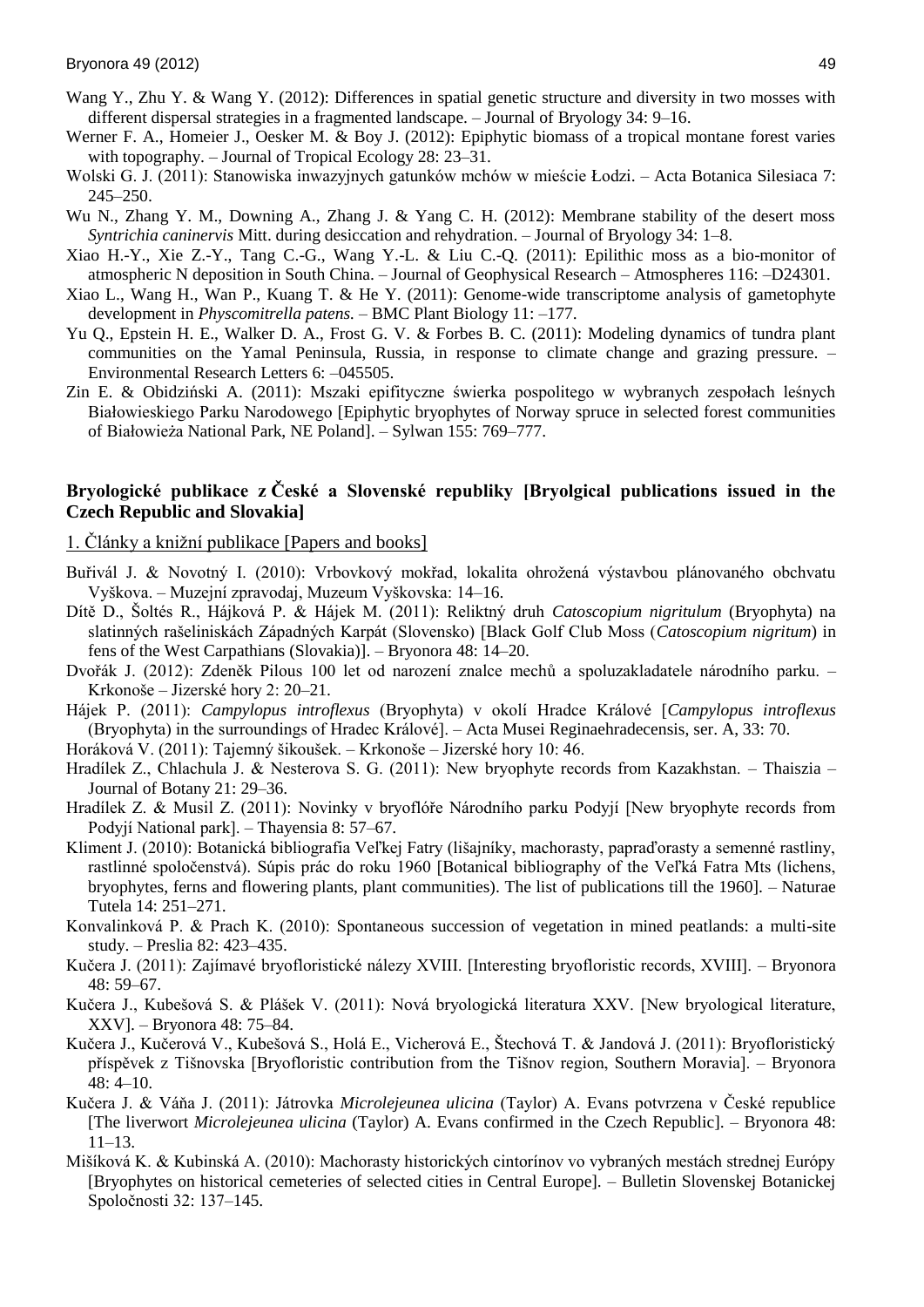- Wang Y., Zhu Y. & Wang Y. (2012): Differences in spatial genetic structure and diversity in two mosses with different dispersal strategies in a fragmented landscape. – Journal of Bryology 34: 9–16.
- Werner F. A., Homeier J., Oesker M. & Boy J. (2012): Epiphytic biomass of a tropical montane forest varies with topography. – Journal of Tropical Ecology 28: 23–31.
- Wolski G. J. (2011): Stanowiska inwazyjnych gatunków mchów w mieście Łodzi. Acta Botanica Silesiaca 7: 245–250.
- Wu N., Zhang Y. M., Downing A., Zhang J. & Yang C. H. (2012): Membrane stability of the desert moss *Syntrichia caninervis* Mitt. during desiccation and rehydration. – Journal of Bryology 34: 1–8.
- Xiao H.-Y., Xie Z.-Y., Tang C.-G., Wang Y.-L. & Liu C.-Q. (2011): Epilithic moss as a bio-monitor of atmospheric N deposition in South China. – Journal of Geophysical Research – Atmospheres 116: –D24301.
- Xiao L., Wang H., Wan P., Kuang T. & He Y. (2011): Genome-wide transcriptome analysis of gametophyte development in *Physcomitrella patens.* – BMC Plant Biology 11: –177.
- Yu Q., Epstein H. E., Walker D. A., Frost G. V. & Forbes B. C. (2011): Modeling dynamics of tundra plant communities on the Yamal Peninsula, Russia, in response to climate change and grazing pressure. – Environmental Research Letters 6: –045505.
- Zin E. & Obidziński A. (2011): Mszaki epifityczne świerka pospolitego w wybranych zespołach leśnych Białowieskiego Parku Narodowego [Epiphytic bryophytes of Norway spruce in selected forest communities of Białowieża National Park, NE Poland]. – Sylwan 155: 769–777.

### **Bryologické publikace z České a Slovenské republiky [Bryolgical publications issued in the Czech Republic and Slovakia]**

1. Články a knižní publikace [Papers and books]

- Buřivál J. & Novotný I. (2010): Vrbovkový mokřad, lokalita ohrožená výstavbou plánovaného obchvatu Vyškova. – Muzejní zpravodaj, Muzeum Vyškovska: 14–16.
- Dítě D., Šoltés R., Hájková P. & Hájek M. (2011): Reliktný druh *Catoscopium nigritulum* (Bryophyta) na slatinných rašeliniskách Západných Karpát (Slovensko) [Black Golf Club Moss (*Catoscopium nigritum*) in fens of the West Carpathians (Slovakia)]. – Bryonora 48: 14–20.
- Dvořák J. (2012): Zdeněk Pilous 100 let od narození znalce mechů a spoluzakladatele národního parku. Krkonoše – Jizerské hory 2: 20–21.
- Hájek P. (2011): *Campylopus introflexus* (Bryophyta) v okolí Hradce Králové [*Campylopus introflexus* (Bryophyta) in the surroundings of Hradec Králové]. – Acta Musei Reginaehradecensis, ser. A, 33: 70.

Horáková V. (2011): Tajemný šikoušek. – Krkonoše – Jizerské hory 10: 46.

- Hradílek Z., Chlachula J. & Nesterova S. G. (2011): New bryophyte records from Kazakhstan. Thaiszia Journal of Botany 21: 29–36.
- Hradílek Z. & Musil Z. (2011): Novinky v bryoflóře Národního parku Podyjí [New bryophyte records from Podyjí National park]. – Thayensia 8: 57–67.
- Kliment J. (2010): Botanická bibliografia Veľkej Fatry (lišajníky, machorasty, papraďorasty a semenné rastliny, rastlinné spoločenstvá). Súpis prác do roku 1960 [Botanical bibliography of the Veľká Fatra Mts (lichens, bryophytes, ferns and flowering plants, plant communities). The list of publications till the 1960]. – Naturae Tutela 14: 251–271.
- Konvalinková P. & Prach K. (2010): Spontaneous succession of vegetation in mined peatlands: a multi-site study. – Preslia 82: 423–435.
- Kučera J. (2011): Zajímavé bryofloristické nálezy XVIII. [Interesting bryofloristic records, XVIII]. Bryonora 48: 59–67.
- Kučera J., Kubešová S. & Plášek V. (2011): Nová bryologická literatura XXV. [New bryological literature, XXV]. – Bryonora 48: 75–84.
- Kučera J., Kučerová V., Kubešová S., Holá E., Vicherová E., Štechová T. & Jandová J. (2011): Bryofloristický příspěvek z Tišnovska [Bryofloristic contribution from the Tišnov region, Southern Moravia]. – Bryonora 48: 4–10.
- Kučera J. & Váňa J. (2011): Játrovka *Microlejeunea ulicina* (Taylor) A. Evans potvrzena v České republice [The liverwort *Microlejeunea ulicina* (Taylor) A. Evans confirmed in the Czech Republic]. – Bryonora 48: 11–13.
- Mišíková K. & Kubinská A. (2010): Machorasty historických cintorínov vo vybraných mestách strednej Európy [Bryophytes on historical cemeteries of selected cities in Central Europe]. – Bulletin Slovenskej Botanickej Spoločnosti 32: 137–145.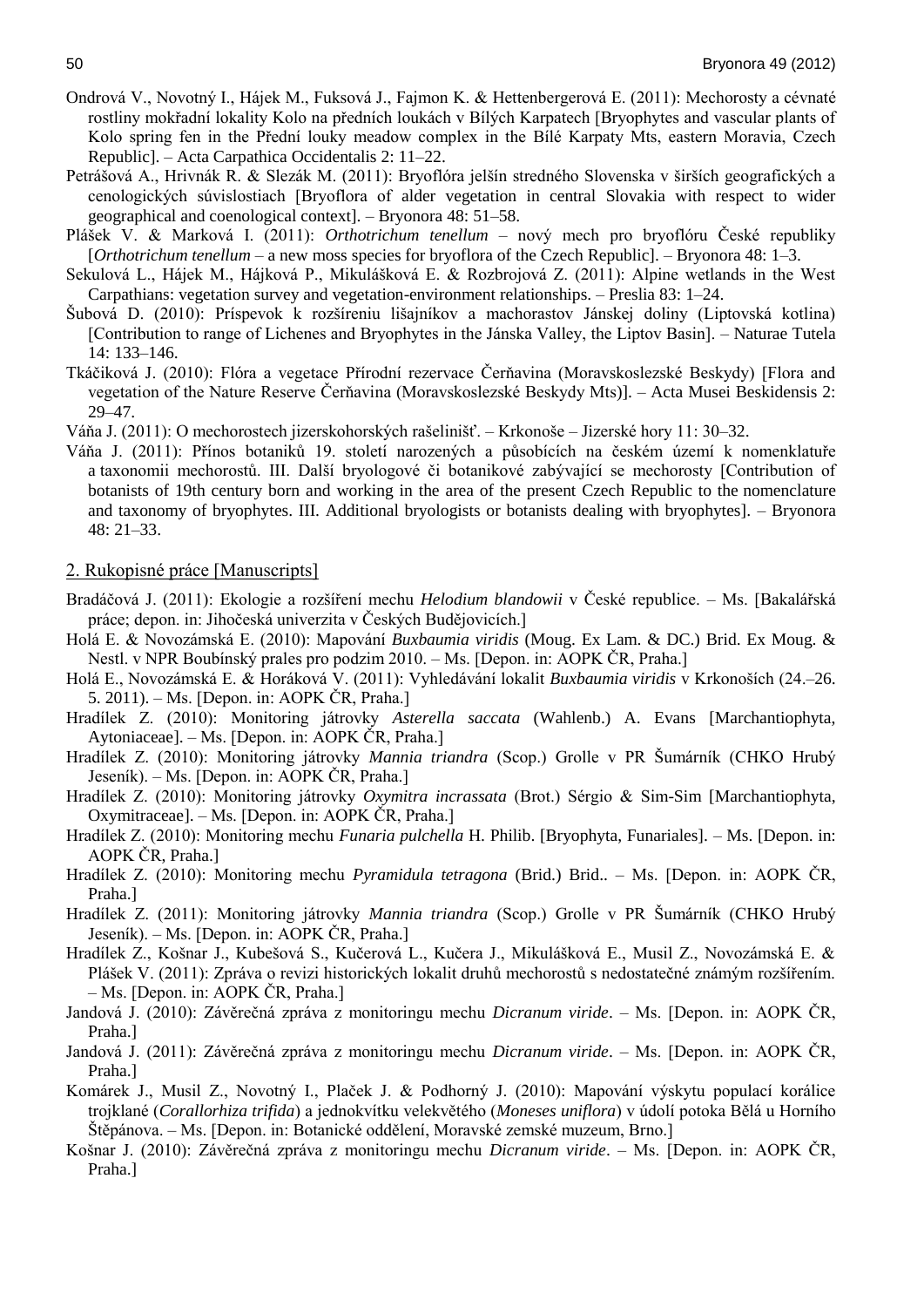- Ondrová V., Novotný I., Hájek M., Fuksová J., Fajmon K. & Hettenbergerová E. (2011): Mechorosty a cévnaté rostliny mokřadní lokality Kolo na předních loukách v Bílých Karpatech [Bryophytes and vascular plants of Kolo spring fen in the Přední louky meadow complex in the Bílé Karpaty Mts, eastern Moravia, Czech Republic]. – Acta Carpathica Occidentalis 2: 11–22.
- Petrášová A., Hrivnák R. & Slezák M. (2011): Bryoflóra jelšín stredného Slovenska v širších geografických a cenologických súvislostiach [Bryoflora of alder vegetation in central Slovakia with respect to wider geographical and coenological context]. – Bryonora 48: 51–58.
- Plášek V. & Marková I. (2011): *Orthotrichum tenellum* nový mech pro bryoflóru České republiky [*Orthotrichum tenellum* – a new moss species for bryoflora of the Czech Republic]. – Bryonora 48: 1–3.
- Sekulová L., Hájek M., Hájková P., Mikulášková E. & Rozbrojová Z. (2011): Alpine wetlands in the West Carpathians: vegetation survey and vegetation-environment relationships. – Preslia 83: 1–24.
- Šubová D. (2010): Príspevok k rozšíreniu lišajníkov a machorastov Jánskej doliny (Liptovská kotlina) [Contribution to range of Lichenes and Bryophytes in the Jánska Valley, the Liptov Basin]. – Naturae Tutela 14: 133–146.
- Tkáčiková J. (2010): Flóra a vegetace Přírodní rezervace Čerňavina (Moravskoslezské Beskydy) [Flora and vegetation of the Nature Reserve Čerňavina (Moravskoslezské Beskydy Mts)]. – Acta Musei Beskidensis 2: 29–47.

Váňa J. (2011): O mechorostech jizerskohorských rašelinišť. – Krkonoše – Jizerské hory 11: 30–32.

Váňa J. (2011): Přínos botaniků 19. století narozených a působících na českém území k nomenklatuře a taxonomii mechorostů. III. Další bryologové či botanikové zabývající se mechorosty [Contribution of botanists of 19th century born and working in the area of the present Czech Republic to the nomenclature and taxonomy of bryophytes. III. Additional bryologists or botanists dealing with bryophytes]. – Bryonora 48: 21–33.

#### 2. Rukopisné práce [Manuscripts]

- Bradáčová J. (2011): Ekologie a rozšíření mechu *Helodium blandowii* v České republice. Ms. [Bakalářská práce; depon. in: Jihočeská univerzita v Českých Budějovicích.]
- Holá E. & Novozámská E. (2010): Mapování *Buxbaumia viridis* (Moug. Ex Lam. & DC.) Brid. Ex Moug. & Nestl. v NPR Boubínský prales pro podzim 2010. – Ms. [Depon. in: AOPK ČR, Praha.]
- Holá E., Novozámská E. & Horáková V. (2011): Vyhledávání lokalit *Buxbaumia viridis* v Krkonoších (24.–26. 5. 2011). – Ms. [Depon. in: AOPK ČR, Praha.]
- Hradílek Z. (2010): Monitoring játrovky *Asterella saccata* (Wahlenb.) A. Evans [Marchantiophyta, Aytoniaceae]. – Ms. [Depon. in: AOPK ČR, Praha.]
- Hradílek Z. (2010): Monitoring játrovky *Mannia triandra* (Scop.) Grolle v PR Šumárník (CHKO Hrubý Jeseník). – Ms. [Depon. in: AOPK ČR, Praha.]
- Hradílek Z. (2010): Monitoring játrovky *Oxymitra incrassata* (Brot.) Sérgio & Sim-Sim [Marchantiophyta, Oxymitraceae]. – Ms. [Depon. in: AOPK ČR, Praha.]
- Hradílek Z. (2010): Monitoring mechu *Funaria pulchella* H. Philib. [Bryophyta, Funariales]. Ms. [Depon. in: AOPK ČR, Praha.]
- Hradílek Z. (2010): Monitoring mechu *Pyramidula tetragona* (Brid.) Brid.. Ms. [Depon. in: AOPK ČR, Praha.]
- Hradílek Z. (2011): Monitoring játrovky *Mannia triandra* (Scop.) Grolle v PR Šumárník (CHKO Hrubý Jeseník). – Ms. [Depon. in: AOPK ČR, Praha.]
- Hradílek Z., Košnar J., Kubešová S., Kučerová L., Kučera J., Mikulášková E., Musil Z., Novozámská E. & Plášek V. (2011): Zpráva o revizi historických lokalit druhů mechorostů s nedostatečné známým rozšířením. – Ms. [Depon. in: AOPK ČR, Praha.]
- Jandová J. (2010): Závěrečná zpráva z monitoringu mechu *Dicranum viride*. Ms. [Depon. in: AOPK ČR, Praha.]
- Jandová J. (2011): Závěrečná zpráva z monitoringu mechu *Dicranum viride*. Ms. [Depon. in: AOPK ČR, Praha.]
- Komárek J., Musil Z., Novotný I., Plaček J. & Podhorný J. (2010): Mapování výskytu populací korálice trojklané (*Corallorhiza trifida*) a jednokvítku velekvětého (*Moneses uniflora*) v údolí potoka Bělá u Horního Štěpánova. – Ms. [Depon. in: Botanické oddělení, Moravské zemské muzeum, Brno.]
- Košnar J. (2010): Závěrečná zpráva z monitoringu mechu *Dicranum viride*. Ms. [Depon. in: AOPK ČR, Praha.]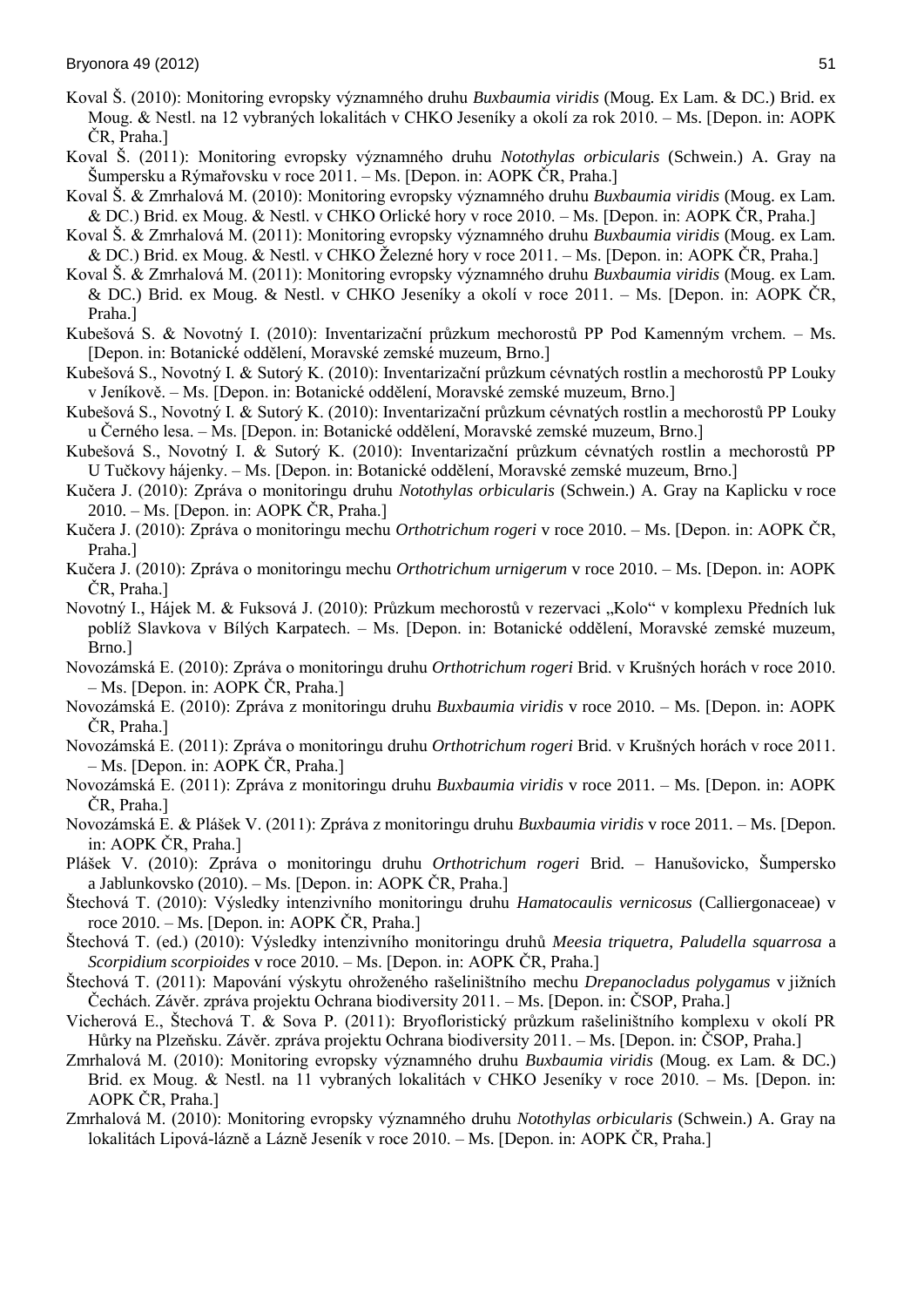- Koval Š. (2010): Monitoring evropsky významného druhu *Buxbaumia viridis* (Moug. Ex Lam. & DC.) Brid. ex Moug. & Nestl. na 12 vybraných lokalitách v CHKO Jeseníky a okolí za rok 2010. – Ms. [Depon. in: AOPK ČR, Praha.]
- Koval Š. (2011): Monitoring evropsky významného druhu *Notothylas orbicularis* (Schwein.) A. Gray na Šumpersku a Rýmařovsku v roce 2011. – Ms. [Depon. in: AOPK ČR, Praha.]
- Koval Š. & Zmrhalová M. (2010): Monitoring evropsky významného druhu *Buxbaumia viridis* (Moug. ex Lam. & DC.) Brid. ex Moug. & Nestl. v CHKO Orlické hory v roce 2010. – Ms. [Depon. in: AOPK ČR, Praha.]
- Koval Š. & Zmrhalová M. (2011): Monitoring evropsky významného druhu *Buxbaumia viridis* (Moug. ex Lam. & DC.) Brid. ex Moug. & Nestl. v CHKO Železné hory v roce 2011. – Ms. [Depon. in: AOPK ČR, Praha.]
- Koval Š. & Zmrhalová M. (2011): Monitoring evropsky významného druhu *Buxbaumia viridis* (Moug. ex Lam. & DC.) Brid. ex Moug. & Nestl. v CHKO Jeseníky a okolí v roce 2011. – Ms. [Depon. in: AOPK ČR, Praha.]
- Kubešová S. & Novotný I. (2010): Inventarizační průzkum mechorostů PP Pod Kamenným vrchem. Ms. [Depon. in: Botanické oddělení, Moravské zemské muzeum, Brno.]
- Kubešová S., Novotný I. & Sutorý K. (2010): Inventarizační průzkum cévnatých rostlin a mechorostů PP Louky v Jeníkově. – Ms. [Depon. in: Botanické oddělení, Moravské zemské muzeum, Brno.]
- Kubešová S., Novotný I. & Sutorý K. (2010): Inventarizační průzkum cévnatých rostlin a mechorostů PP Louky u Černého lesa. – Ms. [Depon. in: Botanické oddělení, Moravské zemské muzeum, Brno.]
- Kubešová S., Novotný I. & Sutorý K. (2010): Inventarizační průzkum cévnatých rostlin a mechorostů PP U Tučkovy hájenky. – Ms. [Depon. in: Botanické oddělení, Moravské zemské muzeum, Brno.]
- Kučera J. (2010): Zpráva o monitoringu druhu *Notothylas orbicularis* (Schwein.) A. Gray na Kaplicku v roce 2010. – Ms. [Depon. in: AOPK ČR, Praha.]
- Kučera J. (2010): Zpráva o monitoringu mechu *Orthotrichum rogeri* v roce 2010. Ms. [Depon. in: AOPK ČR, Praha.]
- Kučera J. (2010): Zpráva o monitoringu mechu *Orthotrichum urnigerum* v roce 2010. Ms. [Depon. in: AOPK ČR, Praha.]
- Novotný I., Hájek M. & Fuksová J. (2010): Průzkum mechorostů v rezervaci "Kolo" v komplexu Předních luk poblíž Slavkova v Bílých Karpatech. – Ms. [Depon. in: Botanické oddělení, Moravské zemské muzeum, Brno.]
- Novozámská E. (2010): Zpráva o monitoringu druhu *Orthotrichum rogeri* Brid. v Krušných horách v roce 2010. – Ms. [Depon. in: AOPK ČR, Praha.]
- Novozámská E. (2010): Zpráva z monitoringu druhu *Buxbaumia viridis* v roce 2010. Ms. [Depon. in: AOPK ČR, Praha.]
- Novozámská E. (2011): Zpráva o monitoringu druhu *Orthotrichum rogeri* Brid. v Krušných horách v roce 2011. – Ms. [Depon. in: AOPK ČR, Praha.]
- Novozámská E. (2011): Zpráva z monitoringu druhu *Buxbaumia viridis* v roce 2011. Ms. [Depon. in: AOPK ČR, Praha.]
- Novozámská E. & Plášek V. (2011): Zpráva z monitoringu druhu *Buxbaumia viridis* v roce 2011. Ms. [Depon. in: AOPK ČR, Praha.]
- Plášek V. (2010): Zpráva o monitoringu druhu *Orthotrichum rogeri* Brid. Hanušovicko, Šumpersko a Jablunkovsko (2010). – Ms. [Depon. in: AOPK ČR, Praha.]
- Štechová T. (2010): Výsledky intenzivního monitoringu druhu *Hamatocaulis vernicosus* (Calliergonaceae) v roce 2010. – Ms. [Depon. in: AOPK ČR, Praha.]
- Štechová T. (ed.) (2010): Výsledky intenzivního monitoringu druhů *Meesia triquetra*, *Paludella squarrosa* a *Scorpidium scorpioides* v roce 2010. – Ms. [Depon. in: AOPK ČR, Praha.]
- Štechová T. (2011): Mapování výskytu ohroženého rašeliništního mechu *Drepanocladus polygamus* v jižních Čechách. Závěr. zpráva projektu Ochrana biodiversity 2011. – Ms. [Depon. in: ČSOP, Praha.]
- Vicherová E., Štechová T. & Sova P. (2011): Bryofloristický průzkum rašeliništního komplexu v okolí PR Hůrky na Plzeňsku. Závěr. zpráva projektu Ochrana biodiversity 2011. – Ms. [Depon. in: ČSOP, Praha.]
- Zmrhalová M. (2010): Monitoring evropsky významného druhu *Buxbaumia viridis* (Moug. ex Lam. & DC.) Brid. ex Moug. & Nestl. na 11 vybraných lokalitách v CHKO Jeseníky v roce 2010. – Ms. [Depon. in: AOPK ČR, Praha.]
- Zmrhalová M. (2010): Monitoring evropsky významného druhu *Notothylas orbicularis* (Schwein.) A. Gray na lokalitách Lipová-lázně a Lázně Jeseník v roce 2010. – Ms. [Depon. in: AOPK ČR, Praha.]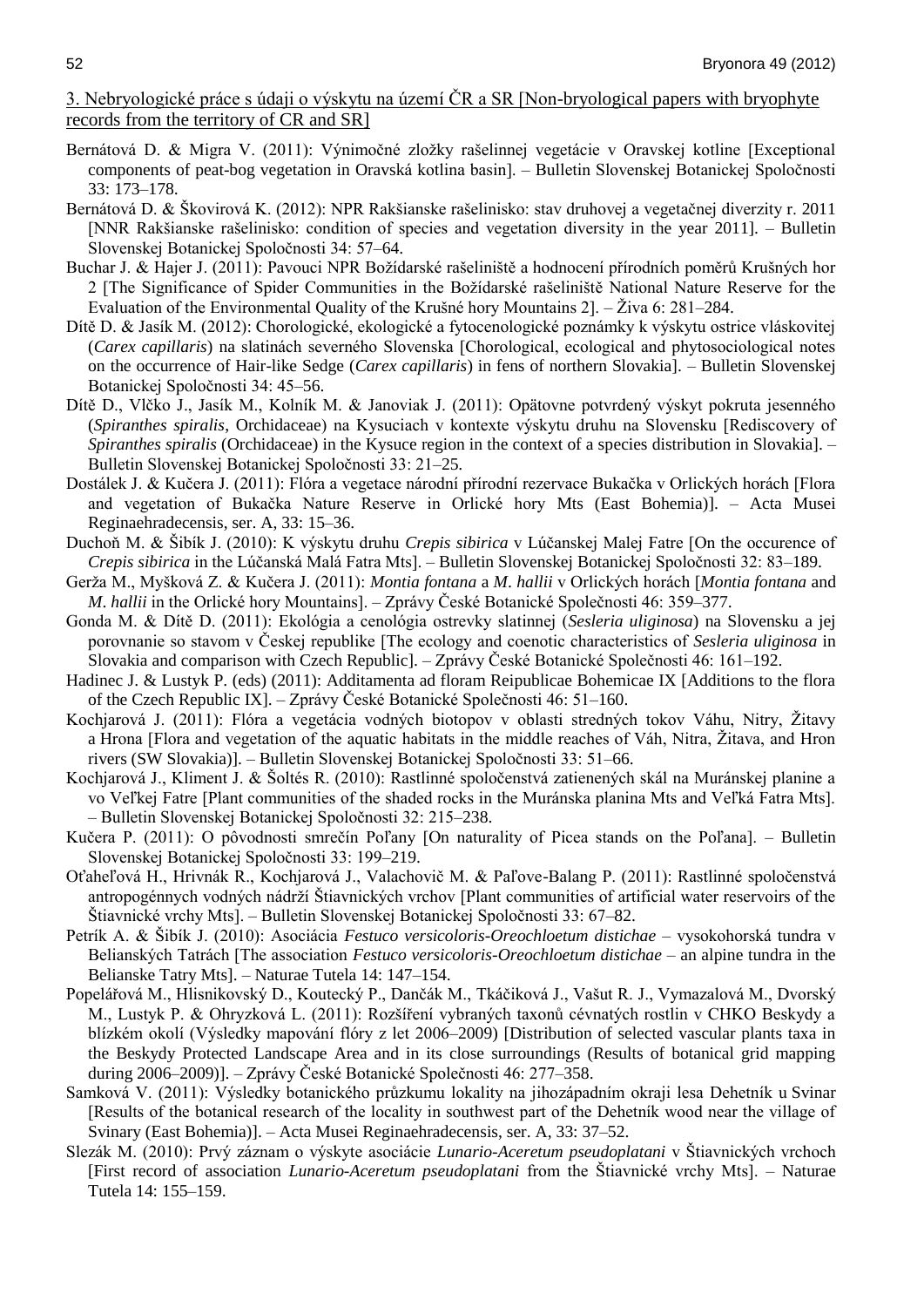## 3. Nebryologické práce s údaji o výskytu na území ČR a SR [Non-bryological papers with bryophyte records from the territory of CR and SR]

- Bernátová D. & Migra V. (2011): Výnimočné zložky rašelinnej vegetácie v Oravskej kotline [Exceptional components of peat-bog vegetation in Oravská kotlina basin]. – Bulletin Slovenskej Botanickej Spoločnosti 33: 173–178.
- Bernátová D. & Škovirová K. (2012): NPR Rakšianske rašelinisko: stav druhovej a vegetačnej diverzity r. 2011 [NNR Rakšianske rašelinisko: condition of species and vegetation diversity in the year 2011]. – Bulletin Slovenskej Botanickej Spoločnosti 34: 57–64.
- Buchar J. & Hajer J. (2011): Pavouci NPR Božídarské rašeliniště a hodnocení přírodních poměrů Krušných hor 2 [The Significance of Spider Communities in the Božídarské rašeliniště National Nature Reserve for the Evaluation of the Environmental Quality of the Krušné hory Mountains 2]. – Živa 6: 281–284.
- Dítě D. & Jasík M. (2012): Chorologické, ekologické a fytocenologické poznámky k výskytu ostrice vláskovitej (*Carex capillaris*) na slatinách severného Slovenska [Chorological, ecological and phytosociological notes on the occurrence of Hair-like Sedge (*Carex capillaris*) in fens of northern Slovakia]. – Bulletin Slovenskej Botanickej Spoločnosti 34: 45–56.
- Dítě D., Vlčko J., Jasík M., Kolník M. & Janoviak J. (2011): Opätovne potvrdený výskyt pokruta jesenného (*Spiranthes spiralis*, Orchidaceae) na Kysuciach v kontexte výskytu druhu na Slovensku [Rediscovery of *Spiranthes spiralis* (Orchidaceae) in the Kysuce region in the context of a species distribution in Slovakia].  $-$ Bulletin Slovenskej Botanickej Spoločnosti 33: 21–25.
- Dostálek J. & Kučera J. (2011): Flóra a vegetace národní přírodní rezervace Bukačka v Orlických horách [Flora and vegetation of Bukačka Nature Reserve in Orlické hory Mts (East Bohemia)]. – Acta Musei Reginaehradecensis, ser. A, 33: 15–36.
- Duchoň M. & Šibík J. (2010): K výskytu druhu *Crepis sibirica* v Lúčanskej Malej Fatre [On the occurence of *Crepis sibirica* in the Lúčanská Malá Fatra Mts]. – Bulletin Slovenskej Botanickej Spoločnosti 32: 83–189.
- Gerža M., Myšková Z. & Kučera J. (2011): *Montia fontana* a *M*. *hallii* v Orlických horách [*Montia fontana* and *M*. *hallii* in the Orlické hory Mountains]. – Zprávy České Botanické Společnosti 46: 359–377.
- Gonda M. & Dítě D. (2011): Ekológia a cenológia ostrevky slatinnej (*Sesleria uliginosa*) na Slovensku a jej porovnanie so stavom v Českej republike [The ecology and coenotic characteristics of *Sesleria uliginosa* in Slovakia and comparison with Czech Republic]. – Zprávy České Botanické Společnosti 46: 161–192.
- Hadinec J. & Lustyk P. (eds) (2011): Additamenta ad floram Reipublicae Bohemicae IX [Additions to the flora of the Czech Republic IX]. – Zprávy České Botanické Společnosti 46: 51–160.
- Kochjarová J. (2011): Flóra a vegetácia vodných biotopov v oblasti stredných tokov Váhu, Nitry, Žitavy a Hrona [Flora and vegetation of the aquatic habitats in the middle reaches of Váh, Nitra, Žitava, and Hron rivers (SW Slovakia)]. – Bulletin Slovenskej Botanickej Spoločnosti 33: 51–66.
- Kochjarová J., Kliment J. & Šoltés R. (2010): Rastlinné spoločenstvá zatienených skál na Muránskej planine a vo Veľkej Fatre [Plant communities of the shaded rocks in the Muránska planina Mts and Veľká Fatra Mts]. – Bulletin Slovenskej Botanickej Spoločnosti 32: 215–238.
- Kučera P. (2011): O pôvodnosti smrečín Poľany [On naturality of Picea stands on the Poľana]. Bulletin Slovenskej Botanickej Spoločnosti 33: 199–219.
- Oťaheľová H., Hrivnák R., Kochjarová J., Valachovič M. & Paľove-Balang P. (2011): Rastlinné spoločenstvá antropogénnych vodných nádrží Štiavnických vrchov [Plant communities of artificial water reservoirs of the Štiavnické vrchy Mts]. – Bulletin Slovenskej Botanickej Spoločnosti 33: 67–82.
- Petrík A. & Šibík J. (2010): Asociácia *Festuco versicoloris-Oreochloetum distichae* vysokohorská tundra v Belianských Tatrách [The association *Festuco versicoloris-Oreochloetum distichae* – an alpine tundra in the Belianske Tatry Mts]. – Naturae Tutela 14: 147–154.
- Popelářová M., Hlisnikovský D., Koutecký P., Dančák M., Tkáčiková J., Vašut R. J., Vymazalová M., Dvorský M., Lustyk P. & Ohryzková L. (2011): Rozšíření vybraných taxonů cévnatých rostlin v CHKO Beskydy a blízkém okolí (Výsledky mapování flóry z let 2006–2009) [Distribution of selected vascular plants taxa in the Beskydy Protected Landscape Area and in its close surroundings (Results of botanical grid mapping during 2006–2009)]. – Zprávy České Botanické Společnosti 46: 277–358.
- Samková V. (2011): Výsledky botanického průzkumu lokality na jihozápadním okraji lesa Dehetník u Svinar [Results of the botanical research of the locality in southwest part of the Dehetník wood near the village of Svinary (East Bohemia)]. – Acta Musei Reginaehradecensis, ser. A, 33: 37–52.
- Slezák M. (2010): Prvý záznam o výskyte asociácie *Lunario-Aceretum pseudoplatani* v Štiavnických vrchoch [First record of association *Lunario-Aceretum pseudoplatani* from the Štiavnické vrchy Mts]. – Naturae Tutela 14: 155–159.